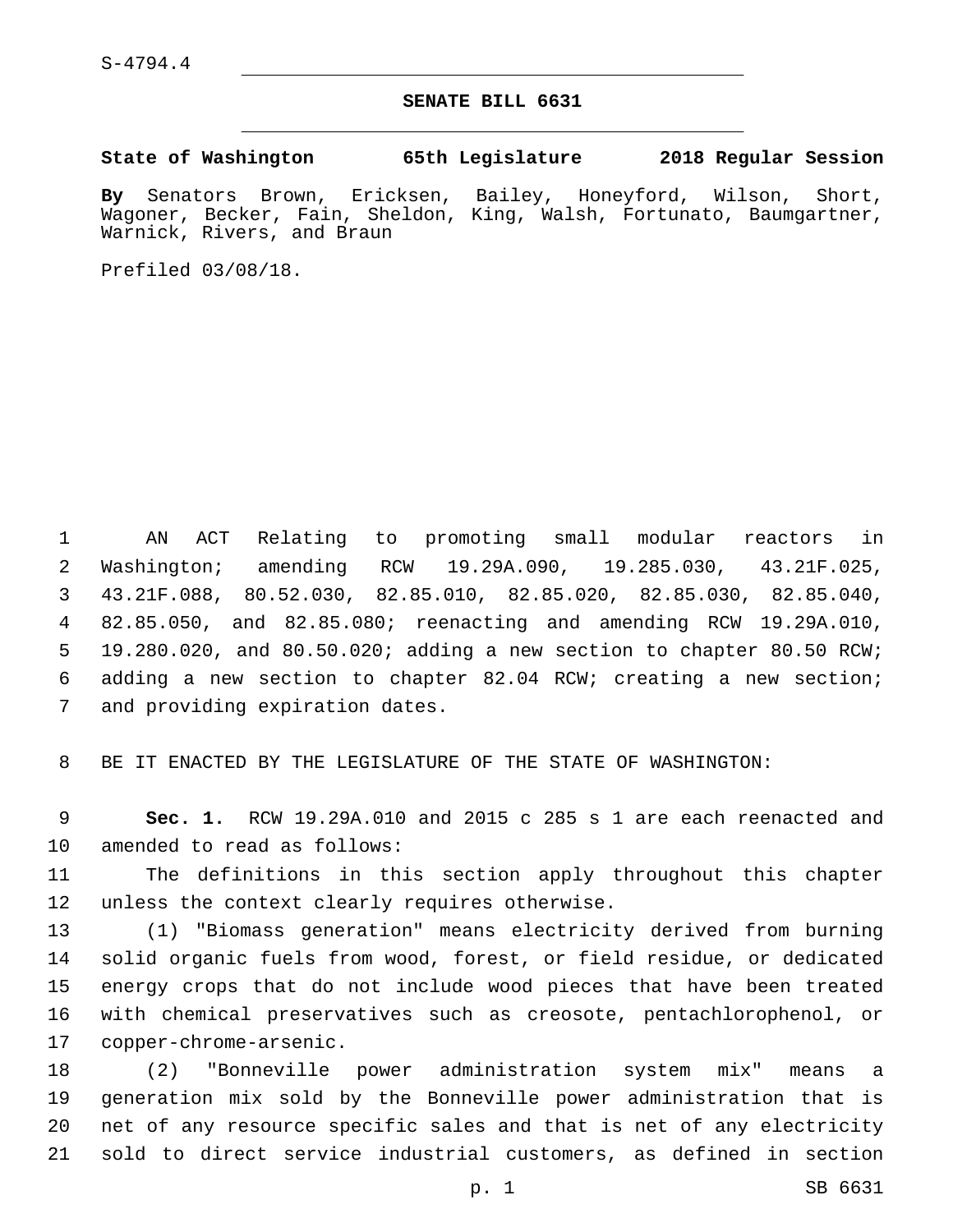S-4794.4

## **SENATE BILL 6631**

**State of Washington 65th Legislature 2018 Regular Session**

**By** Senators Brown, Ericksen, Bailey, Honeyford, Wilson, Short, Wagoner, Becker, Fain, Sheldon, King, Walsh, Fortunato, Baumgartner, Warnick, Rivers, and Braun

Prefiled 03/08/18.

 AN ACT Relating to promoting small modular reactors in Washington; amending RCW 19.29A.090, 19.285.030, 43.21F.025, 43.21F.088, 80.52.030, 82.85.010, 82.85.020, 82.85.030, 82.85.040, 82.85.050, and 82.85.080; reenacting and amending RCW 19.29A.010, 19.280.020, and 80.50.020; adding a new section to chapter 80.50 RCW; adding a new section to chapter 82.04 RCW; creating a new section; 7 and providing expiration dates.

8 BE IT ENACTED BY THE LEGISLATURE OF THE STATE OF WASHINGTON:

9 **Sec. 1.** RCW 19.29A.010 and 2015 c 285 s 1 are each reenacted and 10 amended to read as follows:

11 The definitions in this section apply throughout this chapter 12 unless the context clearly requires otherwise.

 (1) "Biomass generation" means electricity derived from burning solid organic fuels from wood, forest, or field residue, or dedicated energy crops that do not include wood pieces that have been treated with chemical preservatives such as creosote, pentachlorophenol, or 17 copper-chrome-arsenic.

 (2) "Bonneville power administration system mix" means a generation mix sold by the Bonneville power administration that is net of any resource specific sales and that is net of any electricity sold to direct service industrial customers, as defined in section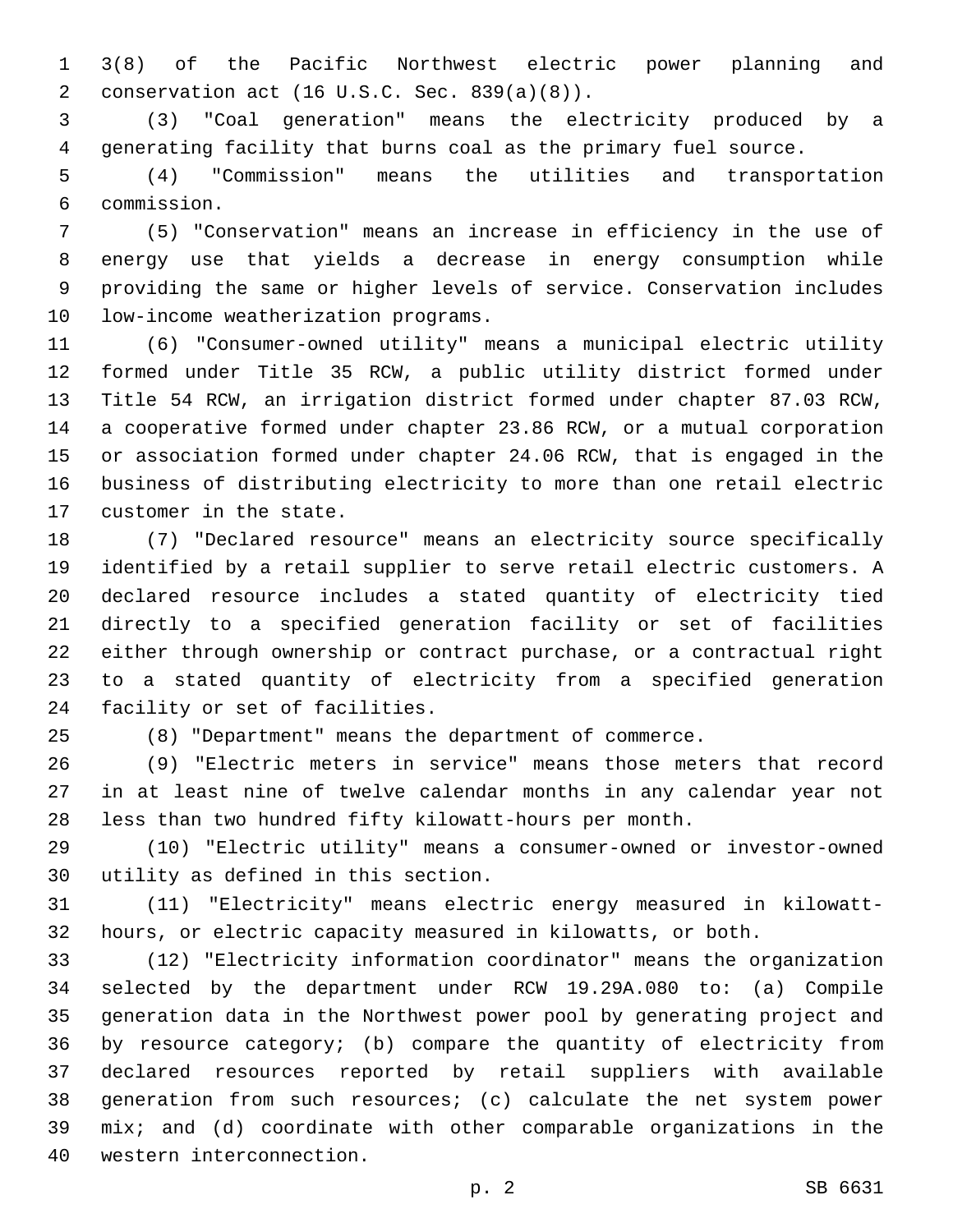3(8) of the Pacific Northwest electric power planning and conservation act (16 U.S.C. Sec. 839(a)(8)).2

 (3) "Coal generation" means the electricity produced by a generating facility that burns coal as the primary fuel source.

 (4) "Commission" means the utilities and transportation commission.6

 (5) "Conservation" means an increase in efficiency in the use of energy use that yields a decrease in energy consumption while providing the same or higher levels of service. Conservation includes 10 low-income weatherization programs.

 (6) "Consumer-owned utility" means a municipal electric utility formed under Title 35 RCW, a public utility district formed under Title 54 RCW, an irrigation district formed under chapter 87.03 RCW, a cooperative formed under chapter 23.86 RCW, or a mutual corporation or association formed under chapter 24.06 RCW, that is engaged in the business of distributing electricity to more than one retail electric 17 customer in the state.

 (7) "Declared resource" means an electricity source specifically identified by a retail supplier to serve retail electric customers. A declared resource includes a stated quantity of electricity tied directly to a specified generation facility or set of facilities either through ownership or contract purchase, or a contractual right to a stated quantity of electricity from a specified generation 24 facility or set of facilities.

(8) "Department" means the department of commerce.

 (9) "Electric meters in service" means those meters that record in at least nine of twelve calendar months in any calendar year not less than two hundred fifty kilowatt-hours per month.

 (10) "Electric utility" means a consumer-owned or investor-owned 30 utility as defined in this section.

 (11) "Electricity" means electric energy measured in kilowatt-hours, or electric capacity measured in kilowatts, or both.

 (12) "Electricity information coordinator" means the organization selected by the department under RCW 19.29A.080 to: (a) Compile generation data in the Northwest power pool by generating project and by resource category; (b) compare the quantity of electricity from declared resources reported by retail suppliers with available generation from such resources; (c) calculate the net system power mix; and (d) coordinate with other comparable organizations in the 40 western interconnection.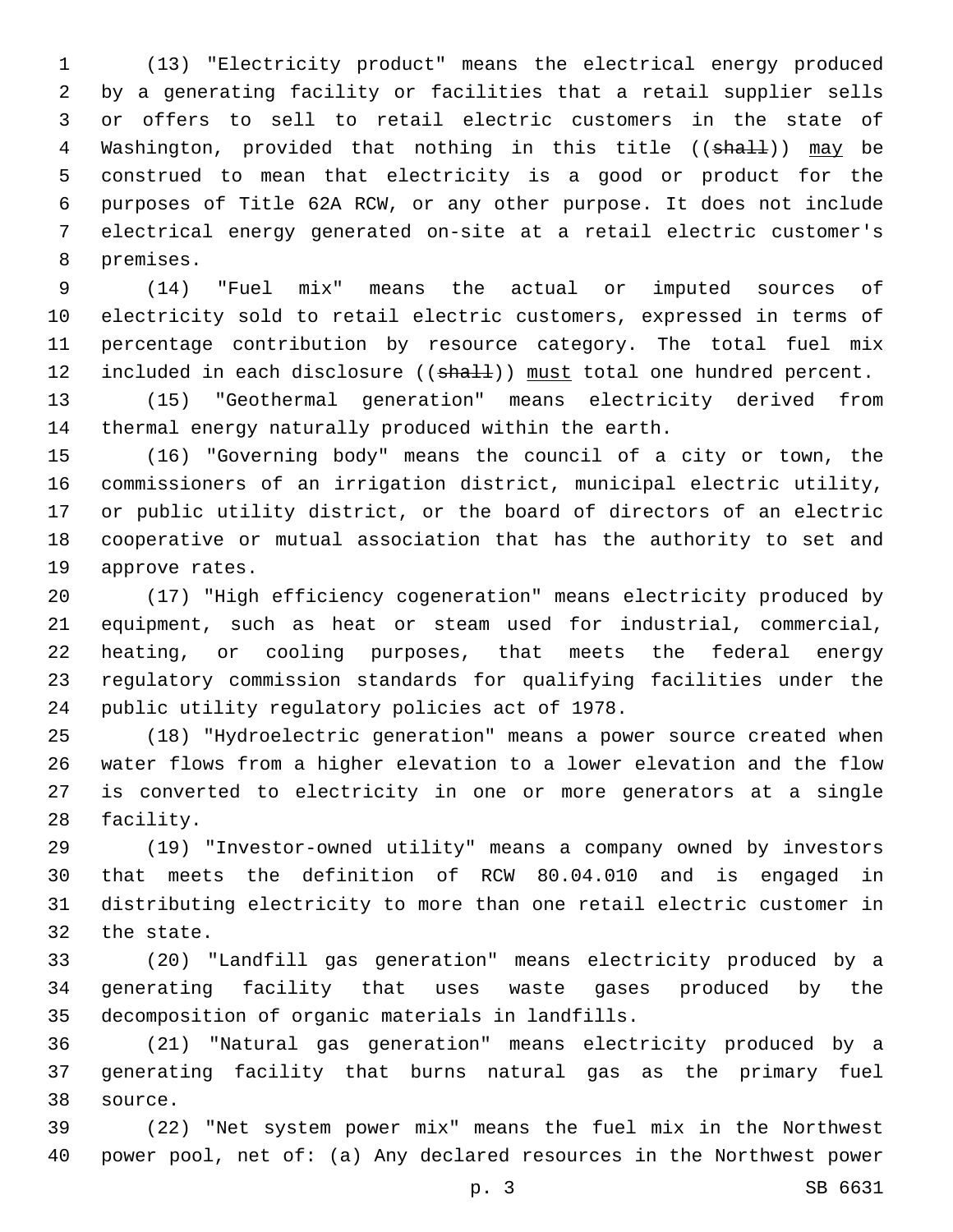(13) "Electricity product" means the electrical energy produced by a generating facility or facilities that a retail supplier sells or offers to sell to retail electric customers in the state of 4 Washington, provided that nothing in this title (( $\frac{1}{n}$ )) may be construed to mean that electricity is a good or product for the purposes of Title 62A RCW, or any other purpose. It does not include electrical energy generated on-site at a retail electric customer's 8 premises.

 (14) "Fuel mix" means the actual or imputed sources of electricity sold to retail electric customers, expressed in terms of percentage contribution by resource category. The total fuel mix 12 included in each disclosure ((shall)) must total one hundred percent.

 (15) "Geothermal generation" means electricity derived from thermal energy naturally produced within the earth.

 (16) "Governing body" means the council of a city or town, the commissioners of an irrigation district, municipal electric utility, or public utility district, or the board of directors of an electric cooperative or mutual association that has the authority to set and 19 approve rates.

 (17) "High efficiency cogeneration" means electricity produced by equipment, such as heat or steam used for industrial, commercial, heating, or cooling purposes, that meets the federal energy regulatory commission standards for qualifying facilities under the 24 public utility regulatory policies act of 1978.

 (18) "Hydroelectric generation" means a power source created when water flows from a higher elevation to a lower elevation and the flow is converted to electricity in one or more generators at a single 28 facility.

 (19) "Investor-owned utility" means a company owned by investors that meets the definition of RCW 80.04.010 and is engaged in distributing electricity to more than one retail electric customer in 32 the state.

 (20) "Landfill gas generation" means electricity produced by a generating facility that uses waste gases produced by the 35 decomposition of organic materials in landfills.

 (21) "Natural gas generation" means electricity produced by a generating facility that burns natural gas as the primary fuel source.38

 (22) "Net system power mix" means the fuel mix in the Northwest power pool, net of: (a) Any declared resources in the Northwest power

p. 3 SB 6631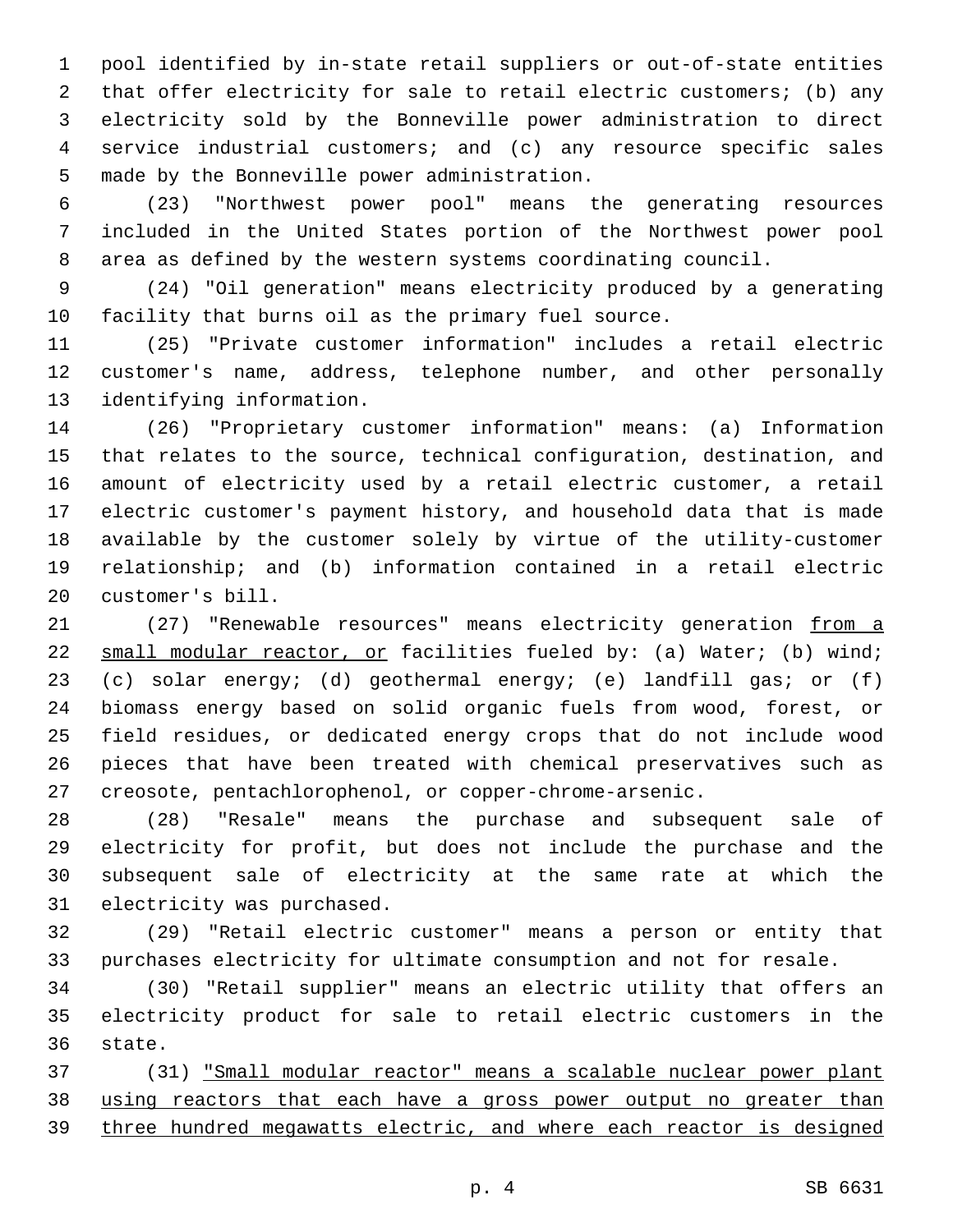pool identified by in-state retail suppliers or out-of-state entities that offer electricity for sale to retail electric customers; (b) any electricity sold by the Bonneville power administration to direct service industrial customers; and (c) any resource specific sales 5 made by the Bonneville power administration.

 (23) "Northwest power pool" means the generating resources included in the United States portion of the Northwest power pool area as defined by the western systems coordinating council.

 (24) "Oil generation" means electricity produced by a generating facility that burns oil as the primary fuel source.

 (25) "Private customer information" includes a retail electric customer's name, address, telephone number, and other personally 13 identifying information.

 (26) "Proprietary customer information" means: (a) Information that relates to the source, technical configuration, destination, and amount of electricity used by a retail electric customer, a retail electric customer's payment history, and household data that is made available by the customer solely by virtue of the utility-customer relationship; and (b) information contained in a retail electric 20 customer's bill.

21 (27) "Renewable resources" means electricity generation from a 22 small modular reactor, or facilities fueled by: (a) Water; (b) wind; (c) solar energy; (d) geothermal energy; (e) landfill gas; or (f) biomass energy based on solid organic fuels from wood, forest, or field residues, or dedicated energy crops that do not include wood pieces that have been treated with chemical preservatives such as creosote, pentachlorophenol, or copper-chrome-arsenic.

 (28) "Resale" means the purchase and subsequent sale of electricity for profit, but does not include the purchase and the subsequent sale of electricity at the same rate at which the 31 electricity was purchased.

 (29) "Retail electric customer" means a person or entity that purchases electricity for ultimate consumption and not for resale.

 (30) "Retail supplier" means an electric utility that offers an electricity product for sale to retail electric customers in the 36 state.

 (31) "Small modular reactor" means a scalable nuclear power plant 38 using reactors that each have a gross power output no greater than three hundred megawatts electric, and where each reactor is designed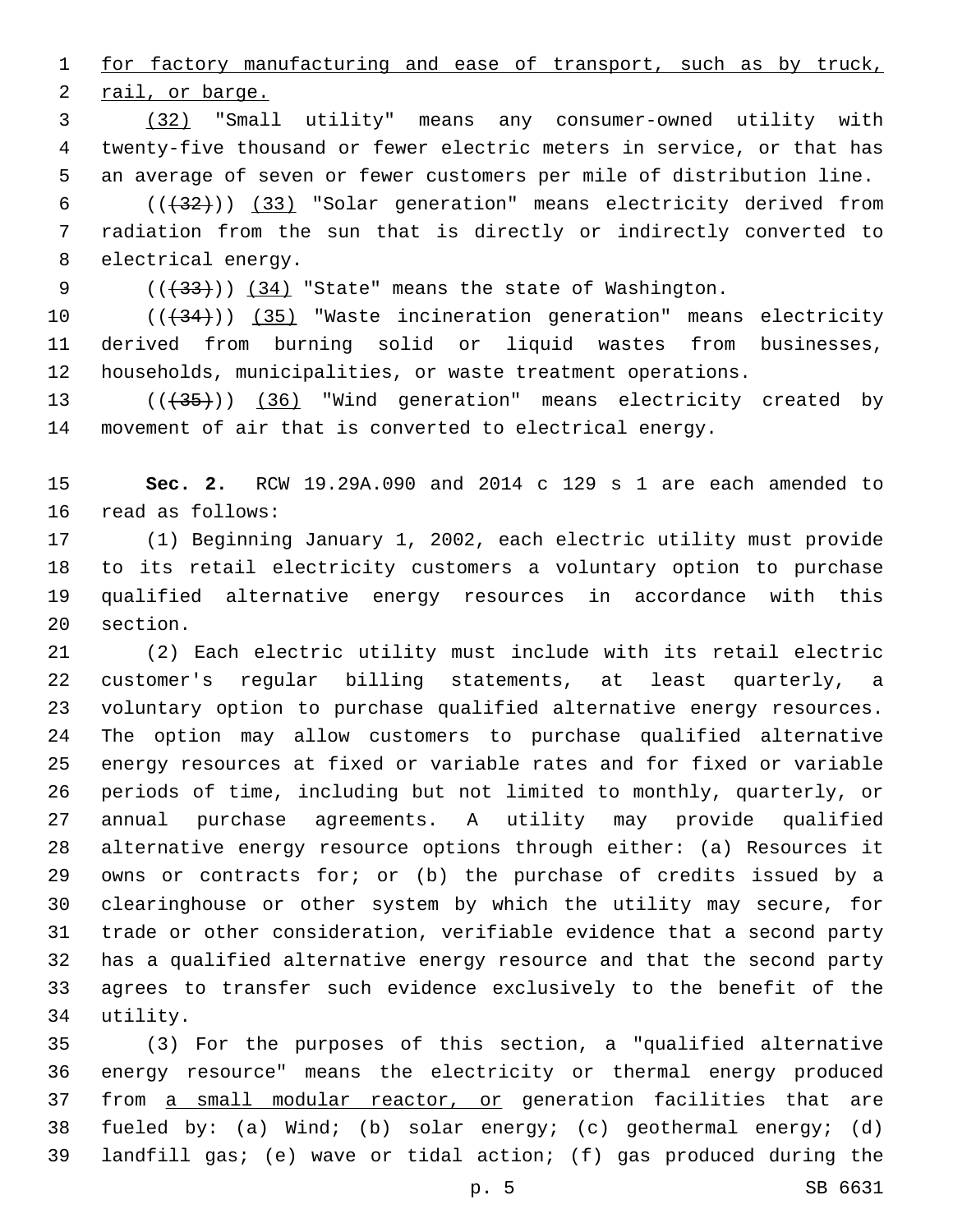for factory manufacturing and ease of transport, such as by truck, 2 rail, or barge.

 (32) "Small utility" means any consumer-owned utility with twenty-five thousand or fewer electric meters in service, or that has an average of seven or fewer customers per mile of distribution line.

6  $((+32))$   $(33)$  "Solar generation" means electricity derived from radiation from the sun that is directly or indirectly converted to 8 electrical energy.

9  $((+33))$   $(34)$  "State" means the state of Washington.

10 (( $\left(\frac{34}{10}\right)$  (35) "Waste incineration generation" means electricity derived from burning solid or liquid wastes from businesses, households, municipalities, or waste treatment operations.

13 (( $(35)$ ) (36) "Wind generation" means electricity created by movement of air that is converted to electrical energy.

 **Sec. 2.** RCW 19.29A.090 and 2014 c 129 s 1 are each amended to 16 read as follows:

 (1) Beginning January 1, 2002, each electric utility must provide to its retail electricity customers a voluntary option to purchase qualified alternative energy resources in accordance with this 20 section.

 (2) Each electric utility must include with its retail electric customer's regular billing statements, at least quarterly, a voluntary option to purchase qualified alternative energy resources. The option may allow customers to purchase qualified alternative energy resources at fixed or variable rates and for fixed or variable periods of time, including but not limited to monthly, quarterly, or annual purchase agreements. A utility may provide qualified alternative energy resource options through either: (a) Resources it owns or contracts for; or (b) the purchase of credits issued by a clearinghouse or other system by which the utility may secure, for trade or other consideration, verifiable evidence that a second party has a qualified alternative energy resource and that the second party agrees to transfer such evidence exclusively to the benefit of the 34 utility.

 (3) For the purposes of this section, a "qualified alternative energy resource" means the electricity or thermal energy produced from a small modular reactor, or generation facilities that are fueled by: (a) Wind; (b) solar energy; (c) geothermal energy; (d) landfill gas; (e) wave or tidal action; (f) gas produced during the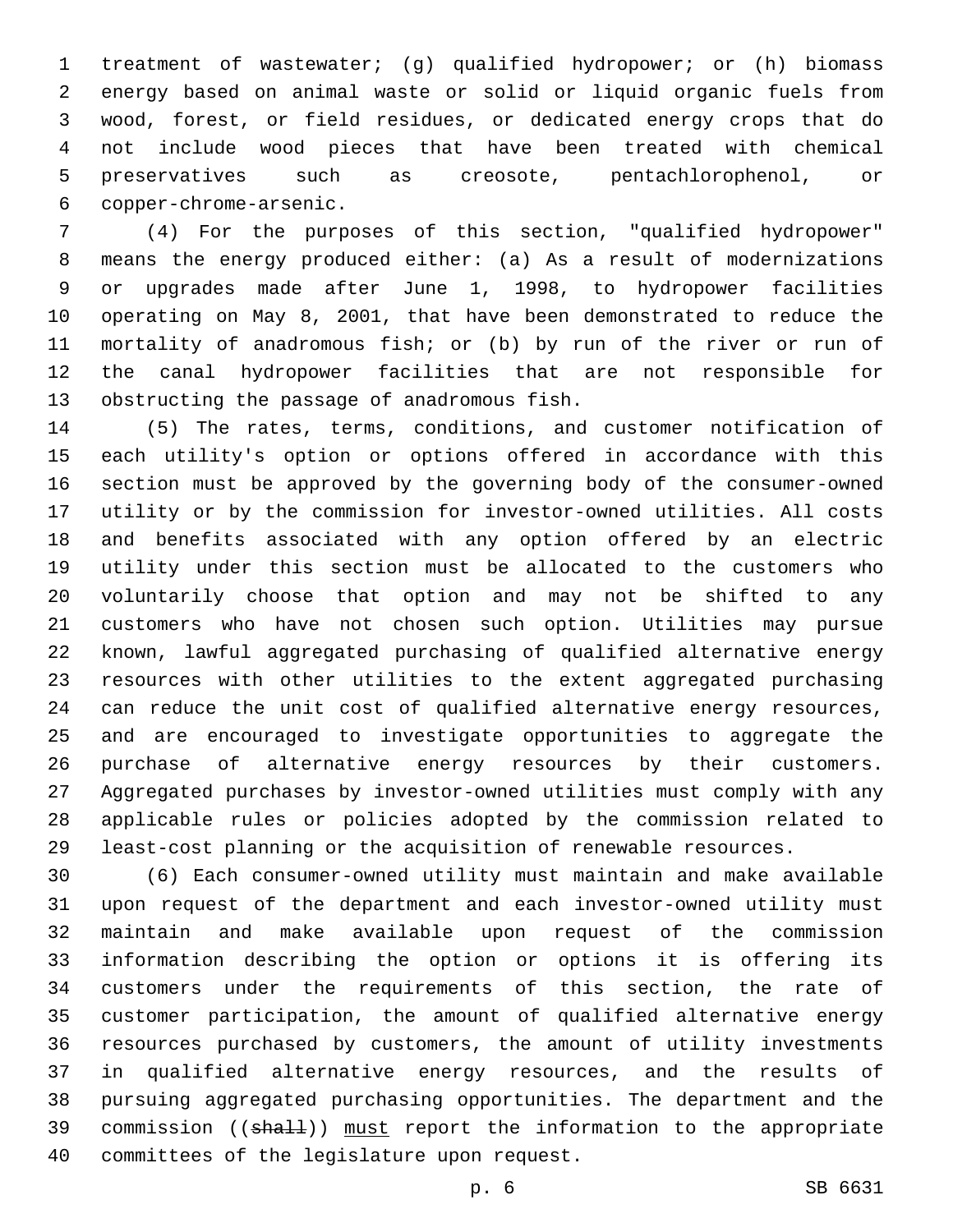treatment of wastewater; (g) qualified hydropower; or (h) biomass energy based on animal waste or solid or liquid organic fuels from wood, forest, or field residues, or dedicated energy crops that do not include wood pieces that have been treated with chemical preservatives such as creosote, pentachlorophenol, or copper-chrome-arsenic.6

 (4) For the purposes of this section, "qualified hydropower" means the energy produced either: (a) As a result of modernizations or upgrades made after June 1, 1998, to hydropower facilities operating on May 8, 2001, that have been demonstrated to reduce the mortality of anadromous fish; or (b) by run of the river or run of the canal hydropower facilities that are not responsible for 13 obstructing the passage of anadromous fish.

 (5) The rates, terms, conditions, and customer notification of each utility's option or options offered in accordance with this section must be approved by the governing body of the consumer-owned utility or by the commission for investor-owned utilities. All costs and benefits associated with any option offered by an electric utility under this section must be allocated to the customers who voluntarily choose that option and may not be shifted to any customers who have not chosen such option. Utilities may pursue known, lawful aggregated purchasing of qualified alternative energy resources with other utilities to the extent aggregated purchasing can reduce the unit cost of qualified alternative energy resources, and are encouraged to investigate opportunities to aggregate the purchase of alternative energy resources by their customers. Aggregated purchases by investor-owned utilities must comply with any applicable rules or policies adopted by the commission related to least-cost planning or the acquisition of renewable resources.

 (6) Each consumer-owned utility must maintain and make available upon request of the department and each investor-owned utility must maintain and make available upon request of the commission information describing the option or options it is offering its customers under the requirements of this section, the rate of customer participation, the amount of qualified alternative energy resources purchased by customers, the amount of utility investments in qualified alternative energy resources, and the results of pursuing aggregated purchasing opportunities. The department and the 39 commission ((shall)) must report the information to the appropriate 40 committees of the legislature upon request.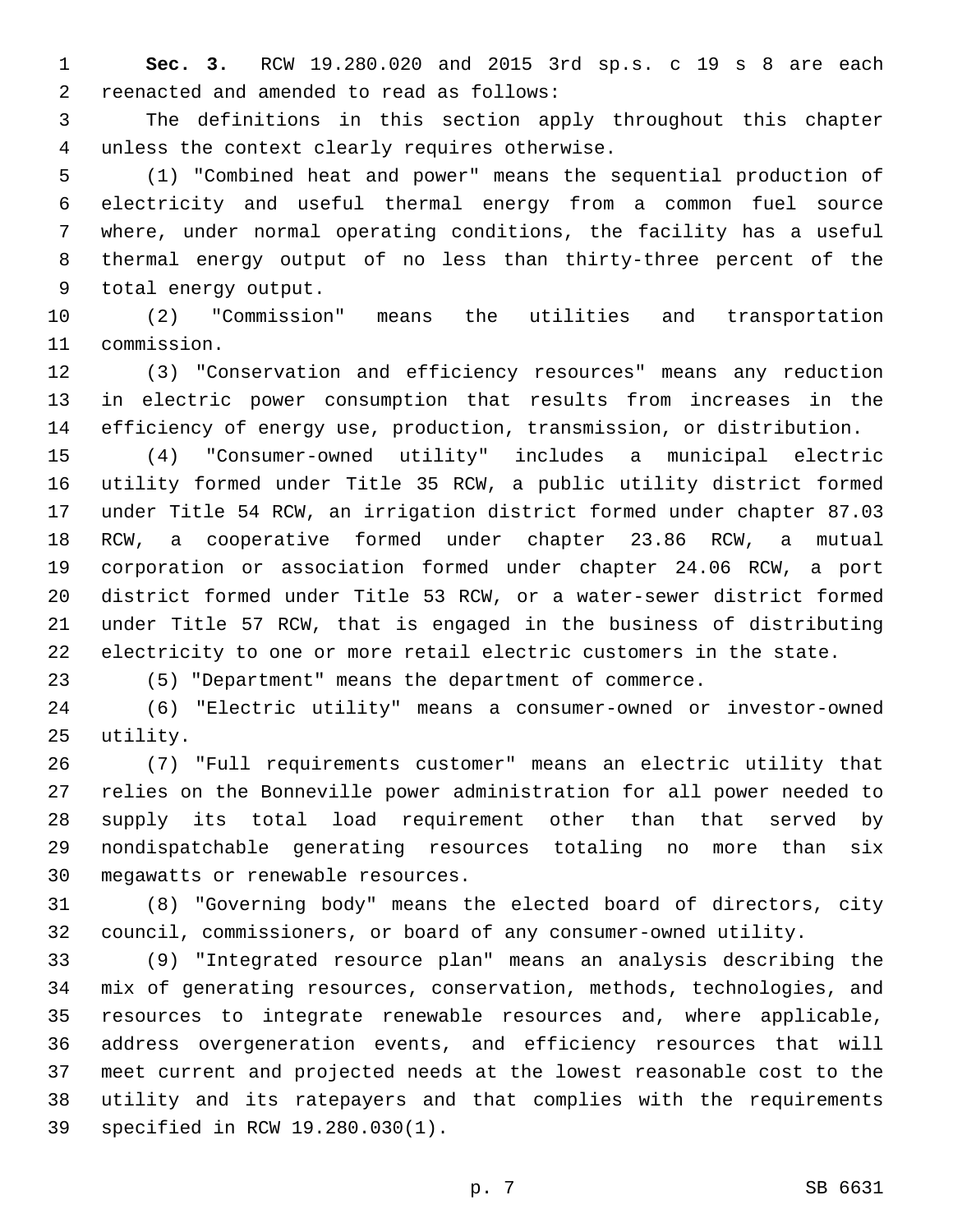**Sec. 3.** RCW 19.280.020 and 2015 3rd sp.s. c 19 s 8 are each reenacted and amended to read as follows:2

 The definitions in this section apply throughout this chapter unless the context clearly requires otherwise.4

 (1) "Combined heat and power" means the sequential production of electricity and useful thermal energy from a common fuel source where, under normal operating conditions, the facility has a useful thermal energy output of no less than thirty-three percent of the 9 total energy output.

 (2) "Commission" means the utilities and transportation 11 commission.

 (3) "Conservation and efficiency resources" means any reduction in electric power consumption that results from increases in the efficiency of energy use, production, transmission, or distribution.

 (4) "Consumer-owned utility" includes a municipal electric utility formed under Title 35 RCW, a public utility district formed under Title 54 RCW, an irrigation district formed under chapter 87.03 RCW, a cooperative formed under chapter 23.86 RCW, a mutual corporation or association formed under chapter 24.06 RCW, a port district formed under Title 53 RCW, or a water-sewer district formed under Title 57 RCW, that is engaged in the business of distributing electricity to one or more retail electric customers in the state.

(5) "Department" means the department of commerce.

 (6) "Electric utility" means a consumer-owned or investor-owned 25 utility.

 (7) "Full requirements customer" means an electric utility that relies on the Bonneville power administration for all power needed to supply its total load requirement other than that served by nondispatchable generating resources totaling no more than six 30 megawatts or renewable resources.

 (8) "Governing body" means the elected board of directors, city council, commissioners, or board of any consumer-owned utility.

 (9) "Integrated resource plan" means an analysis describing the mix of generating resources, conservation, methods, technologies, and resources to integrate renewable resources and, where applicable, address overgeneration events, and efficiency resources that will meet current and projected needs at the lowest reasonable cost to the utility and its ratepayers and that complies with the requirements 39 specified in RCW 19.280.030(1).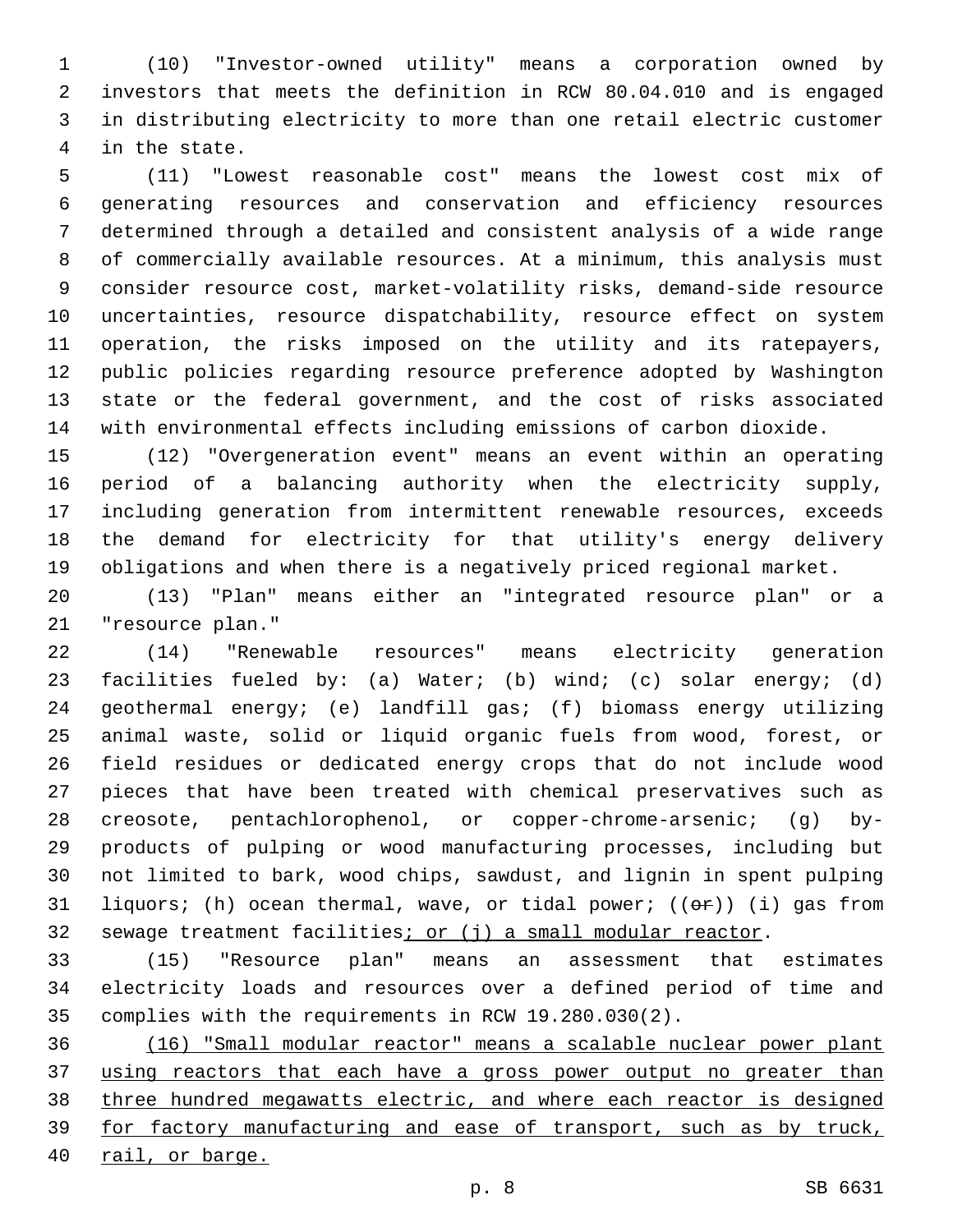(10) "Investor-owned utility" means a corporation owned by investors that meets the definition in RCW 80.04.010 and is engaged in distributing electricity to more than one retail electric customer 4 in the state.

 (11) "Lowest reasonable cost" means the lowest cost mix of generating resources and conservation and efficiency resources determined through a detailed and consistent analysis of a wide range of commercially available resources. At a minimum, this analysis must consider resource cost, market-volatility risks, demand-side resource uncertainties, resource dispatchability, resource effect on system operation, the risks imposed on the utility and its ratepayers, public policies regarding resource preference adopted by Washington state or the federal government, and the cost of risks associated with environmental effects including emissions of carbon dioxide.

 (12) "Overgeneration event" means an event within an operating period of a balancing authority when the electricity supply, including generation from intermittent renewable resources, exceeds the demand for electricity for that utility's energy delivery obligations and when there is a negatively priced regional market.

 (13) "Plan" means either an "integrated resource plan" or a 21 "resource plan."

 (14) "Renewable resources" means electricity generation facilities fueled by: (a) Water; (b) wind; (c) solar energy; (d) geothermal energy; (e) landfill gas; (f) biomass energy utilizing animal waste, solid or liquid organic fuels from wood, forest, or field residues or dedicated energy crops that do not include wood pieces that have been treated with chemical preservatives such as creosote, pentachlorophenol, or copper-chrome-arsenic; (g) by- products of pulping or wood manufacturing processes, including but not limited to bark, wood chips, sawdust, and lignin in spent pulping 31 liquors; (h) ocean thermal, wave, or tidal power; ( $(\theta \cdot \hat{r})$ ) (i) gas from 32 sewage treatment facilities; or (j) a small modular reactor.

 (15) "Resource plan" means an assessment that estimates electricity loads and resources over a defined period of time and complies with the requirements in RCW 19.280.030(2).

 (16) "Small modular reactor" means a scalable nuclear power plant 37 using reactors that each have a gross power output no greater than three hundred megawatts electric, and where each reactor is designed 39 for factory manufacturing and ease of transport, such as by truck, rail, or barge.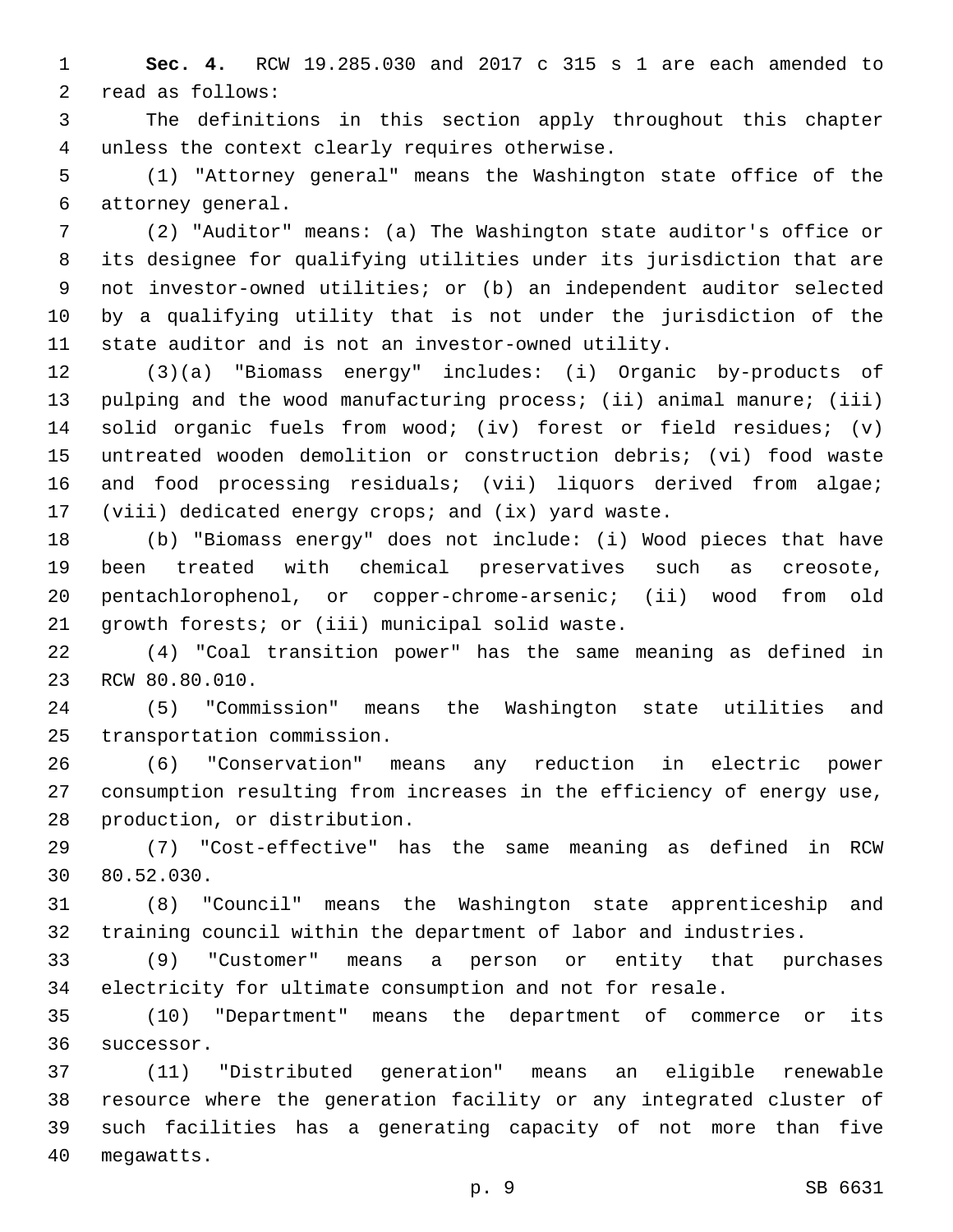**Sec. 4.** RCW 19.285.030 and 2017 c 315 s 1 are each amended to 2 read as follows:

 The definitions in this section apply throughout this chapter 4 unless the context clearly requires otherwise.

 (1) "Attorney general" means the Washington state office of the 6 attorney general.

 (2) "Auditor" means: (a) The Washington state auditor's office or its designee for qualifying utilities under its jurisdiction that are not investor-owned utilities; or (b) an independent auditor selected by a qualifying utility that is not under the jurisdiction of the state auditor and is not an investor-owned utility.

 (3)(a) "Biomass energy" includes: (i) Organic by-products of 13 pulping and the wood manufacturing process; (ii) animal manure; (iii) solid organic fuels from wood; (iv) forest or field residues; (v) untreated wooden demolition or construction debris; (vi) food waste and food processing residuals; (vii) liquors derived from algae; (viii) dedicated energy crops; and (ix) yard waste.

 (b) "Biomass energy" does not include: (i) Wood pieces that have been treated with chemical preservatives such as creosote, pentachlorophenol, or copper-chrome-arsenic; (ii) wood from old 21 growth forests; or (iii) municipal solid waste.

 (4) "Coal transition power" has the same meaning as defined in 23 RCW 80.80.010.

 (5) "Commission" means the Washington state utilities and 25 transportation commission.

 (6) "Conservation" means any reduction in electric power consumption resulting from increases in the efficiency of energy use, 28 production, or distribution.

 (7) "Cost-effective" has the same meaning as defined in RCW 30 80.52.030.

 (8) "Council" means the Washington state apprenticeship and training council within the department of labor and industries.

 (9) "Customer" means a person or entity that purchases electricity for ultimate consumption and not for resale.

 (10) "Department" means the department of commerce or its 36 successor.

 (11) "Distributed generation" means an eligible renewable resource where the generation facility or any integrated cluster of such facilities has a generating capacity of not more than five 40 megawatts.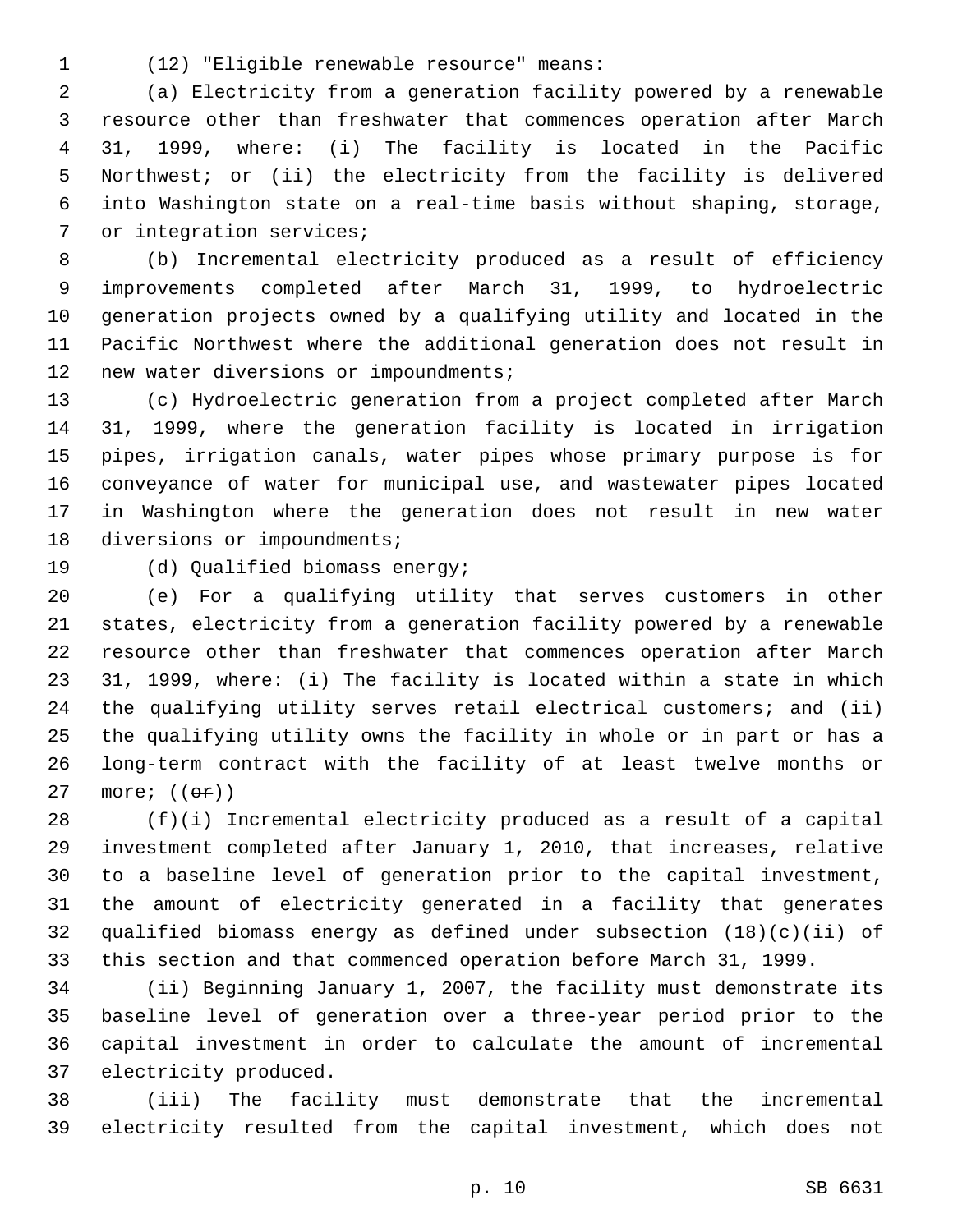(12) "Eligible renewable resource" means:1

 (a) Electricity from a generation facility powered by a renewable resource other than freshwater that commences operation after March 31, 1999, where: (i) The facility is located in the Pacific Northwest; or (ii) the electricity from the facility is delivered into Washington state on a real-time basis without shaping, storage, 7 or integration services;

 (b) Incremental electricity produced as a result of efficiency improvements completed after March 31, 1999, to hydroelectric generation projects owned by a qualifying utility and located in the Pacific Northwest where the additional generation does not result in 12 new water diversions or impoundments;

 (c) Hydroelectric generation from a project completed after March 31, 1999, where the generation facility is located in irrigation pipes, irrigation canals, water pipes whose primary purpose is for conveyance of water for municipal use, and wastewater pipes located in Washington where the generation does not result in new water 18 diversions or impoundments;

19 (d) Qualified biomass energy;

 (e) For a qualifying utility that serves customers in other states, electricity from a generation facility powered by a renewable resource other than freshwater that commences operation after March 31, 1999, where: (i) The facility is located within a state in which the qualifying utility serves retail electrical customers; and (ii) the qualifying utility owns the facility in whole or in part or has a long-term contract with the facility of at least twelve months or 27 more;  $((\theta \texttt{F}))$ 

 (f)(i) Incremental electricity produced as a result of a capital investment completed after January 1, 2010, that increases, relative to a baseline level of generation prior to the capital investment, the amount of electricity generated in a facility that generates qualified biomass energy as defined under subsection (18)(c)(ii) of this section and that commenced operation before March 31, 1999.

 (ii) Beginning January 1, 2007, the facility must demonstrate its baseline level of generation over a three-year period prior to the capital investment in order to calculate the amount of incremental 37 electricity produced.

 (iii) The facility must demonstrate that the incremental electricity resulted from the capital investment, which does not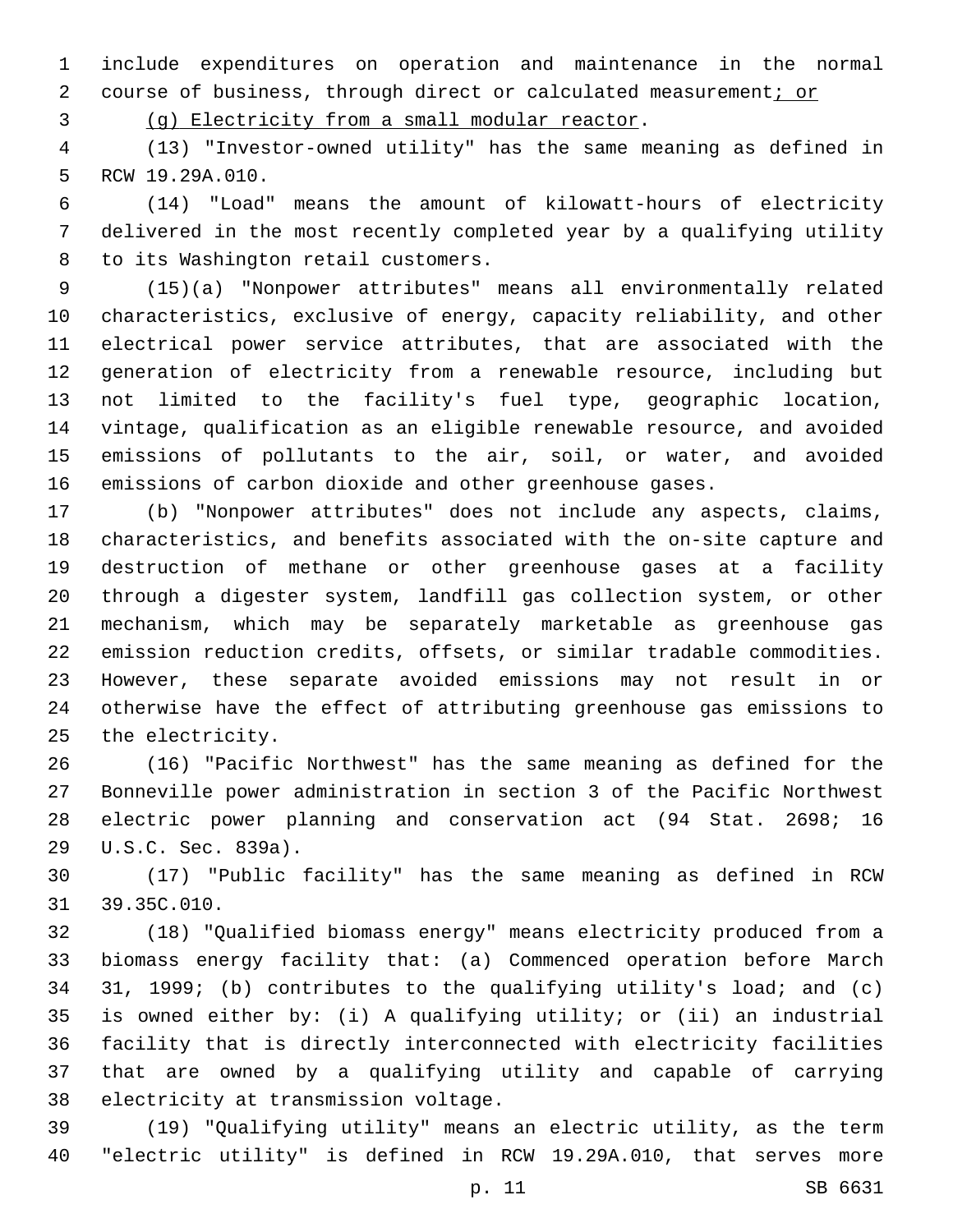include expenditures on operation and maintenance in the normal 2 course of business, through direct or calculated measurement; or

3 (g) Electricity from a small modular reactor.

 (13) "Investor-owned utility" has the same meaning as defined in 5 RCW 19.29A.010.

 (14) "Load" means the amount of kilowatt-hours of electricity delivered in the most recently completed year by a qualifying utility 8 to its Washington retail customers.

 (15)(a) "Nonpower attributes" means all environmentally related characteristics, exclusive of energy, capacity reliability, and other electrical power service attributes, that are associated with the generation of electricity from a renewable resource, including but not limited to the facility's fuel type, geographic location, vintage, qualification as an eligible renewable resource, and avoided emissions of pollutants to the air, soil, or water, and avoided emissions of carbon dioxide and other greenhouse gases.

 (b) "Nonpower attributes" does not include any aspects, claims, characteristics, and benefits associated with the on-site capture and destruction of methane or other greenhouse gases at a facility through a digester system, landfill gas collection system, or other mechanism, which may be separately marketable as greenhouse gas emission reduction credits, offsets, or similar tradable commodities. However, these separate avoided emissions may not result in or otherwise have the effect of attributing greenhouse gas emissions to 25 the electricity.

 (16) "Pacific Northwest" has the same meaning as defined for the Bonneville power administration in section 3 of the Pacific Northwest electric power planning and conservation act (94 Stat. 2698; 16 29 U.S.C. Sec. 839a).

 (17) "Public facility" has the same meaning as defined in RCW 31 39.35C.010.

 (18) "Qualified biomass energy" means electricity produced from a biomass energy facility that: (a) Commenced operation before March 31, 1999; (b) contributes to the qualifying utility's load; and (c) is owned either by: (i) A qualifying utility; or (ii) an industrial facility that is directly interconnected with electricity facilities that are owned by a qualifying utility and capable of carrying 38 electricity at transmission voltage.

 (19) "Qualifying utility" means an electric utility, as the term "electric utility" is defined in RCW 19.29A.010, that serves more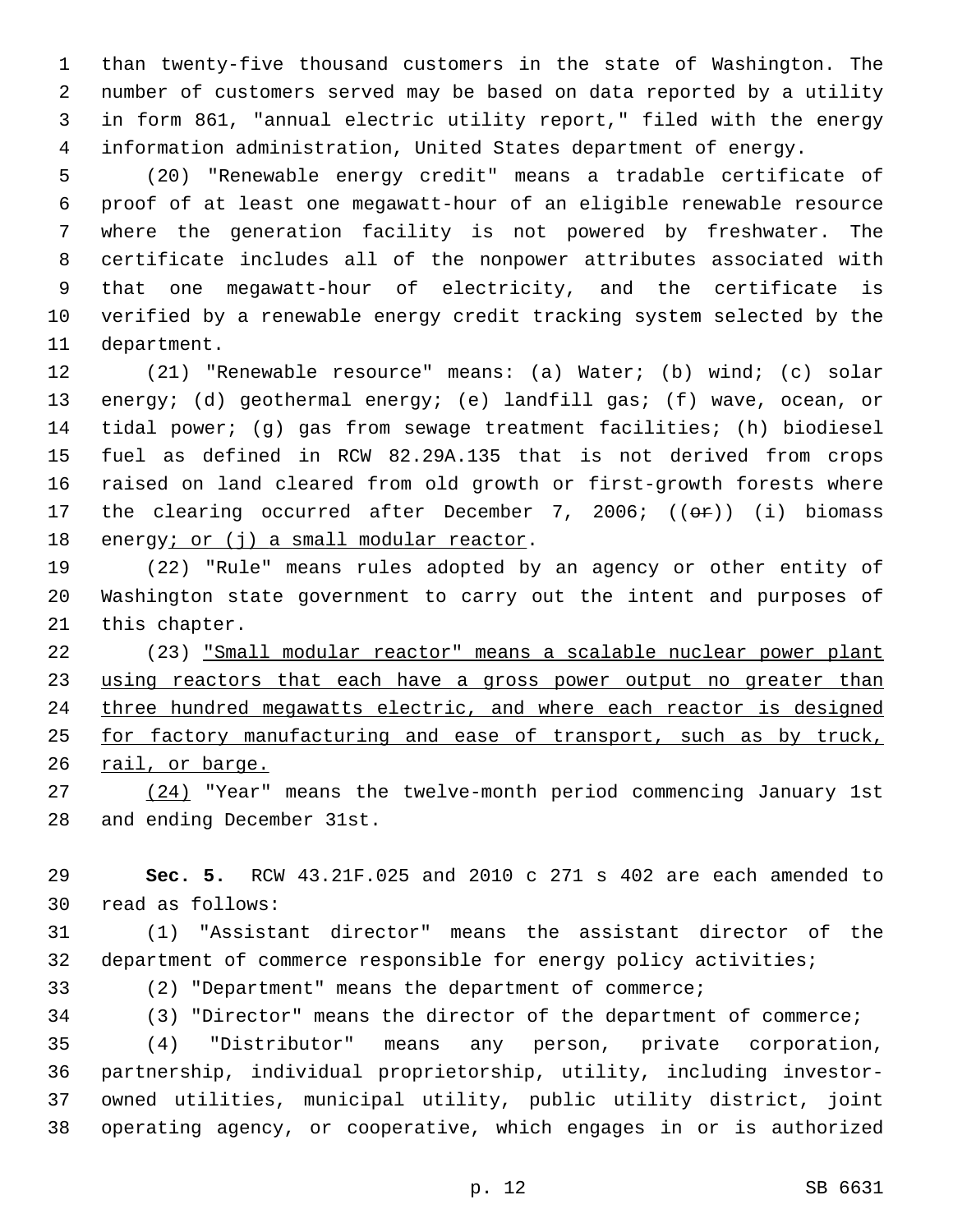than twenty-five thousand customers in the state of Washington. The number of customers served may be based on data reported by a utility in form 861, "annual electric utility report," filed with the energy information administration, United States department of energy.

 (20) "Renewable energy credit" means a tradable certificate of proof of at least one megawatt-hour of an eligible renewable resource where the generation facility is not powered by freshwater. The certificate includes all of the nonpower attributes associated with that one megawatt-hour of electricity, and the certificate is verified by a renewable energy credit tracking system selected by the 11 department.

 (21) "Renewable resource" means: (a) Water; (b) wind; (c) solar energy; (d) geothermal energy; (e) landfill gas; (f) wave, ocean, or tidal power; (g) gas from sewage treatment facilities; (h) biodiesel fuel as defined in RCW 82.29A.135 that is not derived from crops raised on land cleared from old growth or first-growth forests where 17 the clearing occurred after December 7, 2006; ((or)) (i) biomass 18 energy; or  $(i)$  a small modular reactor.

 (22) "Rule" means rules adopted by an agency or other entity of Washington state government to carry out the intent and purposes of 21 this chapter.

 (23) "Small modular reactor" means a scalable nuclear power plant 23 using reactors that each have a gross power output no greater than three hundred megawatts electric, and where each reactor is designed 25 for factory manufacturing and ease of transport, such as by truck, 26 rail, or barge.

 (24) "Year" means the twelve-month period commencing January 1st 28 and ending December 31st.

 **Sec. 5.** RCW 43.21F.025 and 2010 c 271 s 402 are each amended to read as follows:30

 (1) "Assistant director" means the assistant director of the department of commerce responsible for energy policy activities;

(2) "Department" means the department of commerce;

 (3) "Director" means the director of the department of commerce; (4) "Distributor" means any person, private corporation, partnership, individual proprietorship, utility, including investor- owned utilities, municipal utility, public utility district, joint operating agency, or cooperative, which engages in or is authorized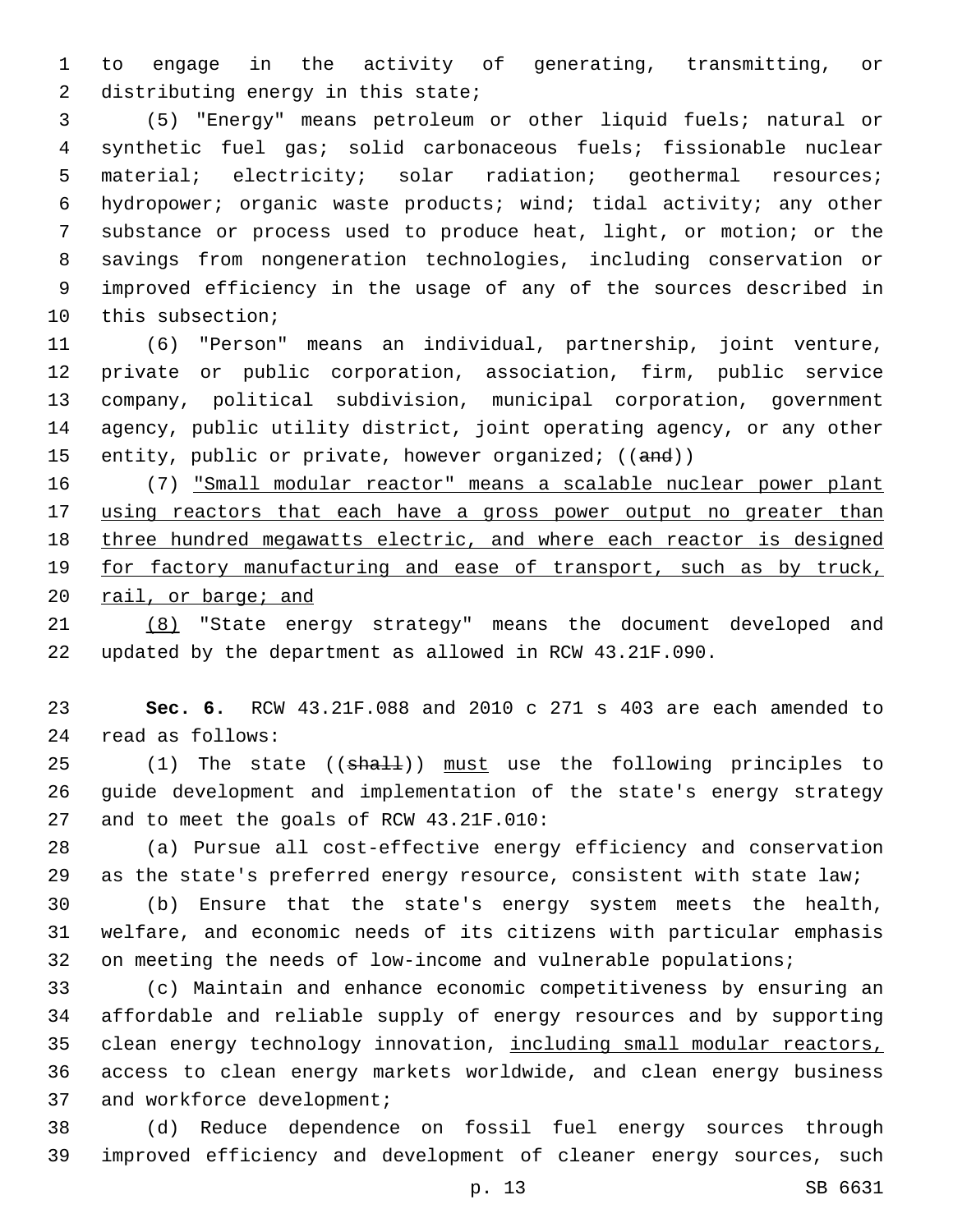to engage in the activity of generating, transmitting, or 2 distributing energy in this state;

 (5) "Energy" means petroleum or other liquid fuels; natural or synthetic fuel gas; solid carbonaceous fuels; fissionable nuclear material; electricity; solar radiation; geothermal resources; hydropower; organic waste products; wind; tidal activity; any other substance or process used to produce heat, light, or motion; or the savings from nongeneration technologies, including conservation or improved efficiency in the usage of any of the sources described in 10 this subsection;

 (6) "Person" means an individual, partnership, joint venture, private or public corporation, association, firm, public service company, political subdivision, municipal corporation, government agency, public utility district, joint operating agency, or any other 15 entity, public or private, however organized; ((and))

 (7) "Small modular reactor" means a scalable nuclear power plant 17 using reactors that each have a gross power output no greater than three hundred megawatts electric, and where each reactor is designed 19 for factory manufacturing and ease of transport, such as by truck, 20 rail, or barge; and

 (8) "State energy strategy" means the document developed and updated by the department as allowed in RCW 43.21F.090.

 **Sec. 6.** RCW 43.21F.088 and 2010 c 271 s 403 are each amended to read as follows:24

25 (1) The state ((shall)) must use the following principles to guide development and implementation of the state's energy strategy 27 and to meet the goals of RCW 43.21F.010:

 (a) Pursue all cost-effective energy efficiency and conservation as the state's preferred energy resource, consistent with state law;

 (b) Ensure that the state's energy system meets the health, welfare, and economic needs of its citizens with particular emphasis 32 on meeting the needs of low-income and vulnerable populations;

 (c) Maintain and enhance economic competitiveness by ensuring an affordable and reliable supply of energy resources and by supporting 35 clean energy technology innovation, including small modular reactors, access to clean energy markets worldwide, and clean energy business 37 and workforce development;

 (d) Reduce dependence on fossil fuel energy sources through improved efficiency and development of cleaner energy sources, such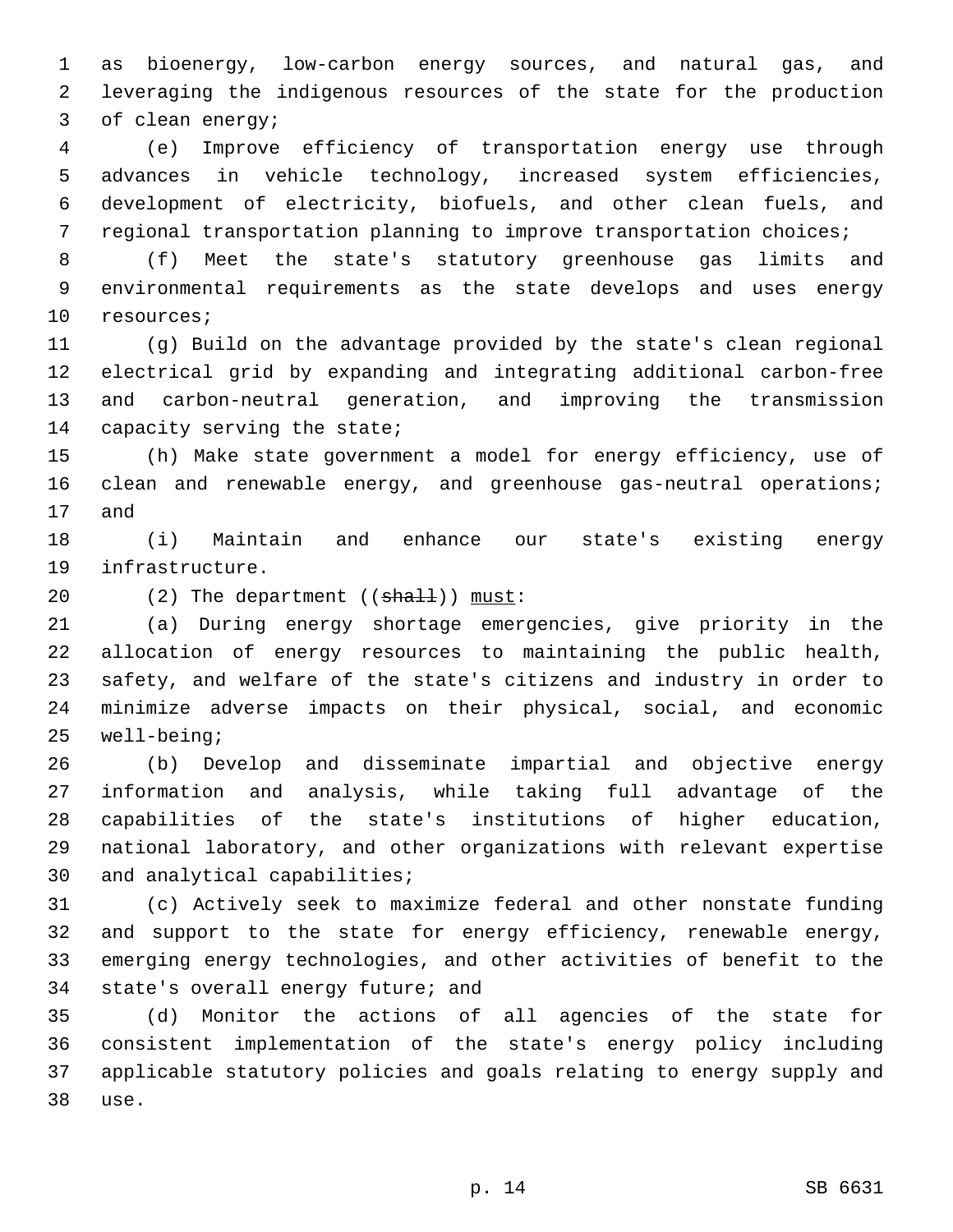as bioenergy, low-carbon energy sources, and natural gas, and leveraging the indigenous resources of the state for the production 3 of clean energy;

 (e) Improve efficiency of transportation energy use through advances in vehicle technology, increased system efficiencies, development of electricity, biofuels, and other clean fuels, and regional transportation planning to improve transportation choices;

 (f) Meet the state's statutory greenhouse gas limits and environmental requirements as the state develops and uses energy 10 resources;

 (g) Build on the advantage provided by the state's clean regional electrical grid by expanding and integrating additional carbon-free and carbon-neutral generation, and improving the transmission 14 capacity serving the state;

 (h) Make state government a model for energy efficiency, use of 16 clean and renewable energy, and greenhouse gas-neutral operations; 17 and

 (i) Maintain and enhance our state's existing energy 19 infrastructure.

20 (2) The department ((shall)) must:

 (a) During energy shortage emergencies, give priority in the allocation of energy resources to maintaining the public health, safety, and welfare of the state's citizens and industry in order to minimize adverse impacts on their physical, social, and economic 25 well-being;

 (b) Develop and disseminate impartial and objective energy information and analysis, while taking full advantage of the capabilities of the state's institutions of higher education, national laboratory, and other organizations with relevant expertise 30 and analytical capabilities;

 (c) Actively seek to maximize federal and other nonstate funding and support to the state for energy efficiency, renewable energy, emerging energy technologies, and other activities of benefit to the 34 state's overall energy future; and

 (d) Monitor the actions of all agencies of the state for consistent implementation of the state's energy policy including applicable statutory policies and goals relating to energy supply and 38 use.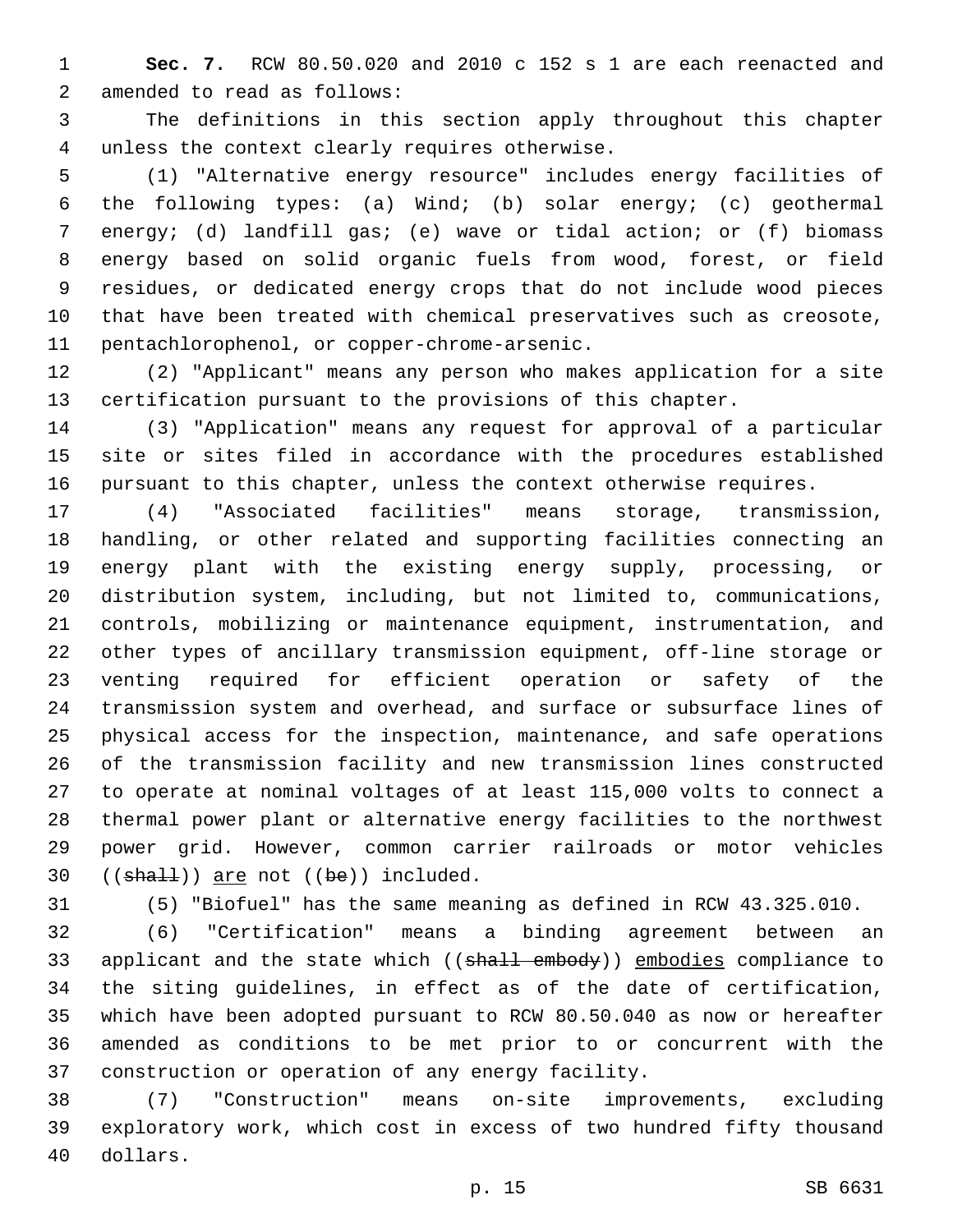**Sec. 7.** RCW 80.50.020 and 2010 c 152 s 1 are each reenacted and 2 amended to read as follows:

 The definitions in this section apply throughout this chapter 4 unless the context clearly requires otherwise.

 (1) "Alternative energy resource" includes energy facilities of the following types: (a) Wind; (b) solar energy; (c) geothermal energy; (d) landfill gas; (e) wave or tidal action; or (f) biomass energy based on solid organic fuels from wood, forest, or field residues, or dedicated energy crops that do not include wood pieces that have been treated with chemical preservatives such as creosote, 11 pentachlorophenol, or copper-chrome-arsenic.

 (2) "Applicant" means any person who makes application for a site certification pursuant to the provisions of this chapter.

 (3) "Application" means any request for approval of a particular site or sites filed in accordance with the procedures established pursuant to this chapter, unless the context otherwise requires.

 (4) "Associated facilities" means storage, transmission, handling, or other related and supporting facilities connecting an energy plant with the existing energy supply, processing, or distribution system, including, but not limited to, communications, controls, mobilizing or maintenance equipment, instrumentation, and other types of ancillary transmission equipment, off-line storage or venting required for efficient operation or safety of the transmission system and overhead, and surface or subsurface lines of physical access for the inspection, maintenance, and safe operations of the transmission facility and new transmission lines constructed to operate at nominal voltages of at least 115,000 volts to connect a thermal power plant or alternative energy facilities to the northwest power grid. However, common carrier railroads or motor vehicles (( $sha11$ )) are not (( $be$ )) included.

(5) "Biofuel" has the same meaning as defined in RCW 43.325.010.

 (6) "Certification" means a binding agreement between an 33 applicant and the state which ((shall embody)) embodies compliance to the siting guidelines, in effect as of the date of certification, which have been adopted pursuant to RCW 80.50.040 as now or hereafter amended as conditions to be met prior to or concurrent with the 37 construction or operation of any energy facility.

 (7) "Construction" means on-site improvements, excluding exploratory work, which cost in excess of two hundred fifty thousand 40 dollars.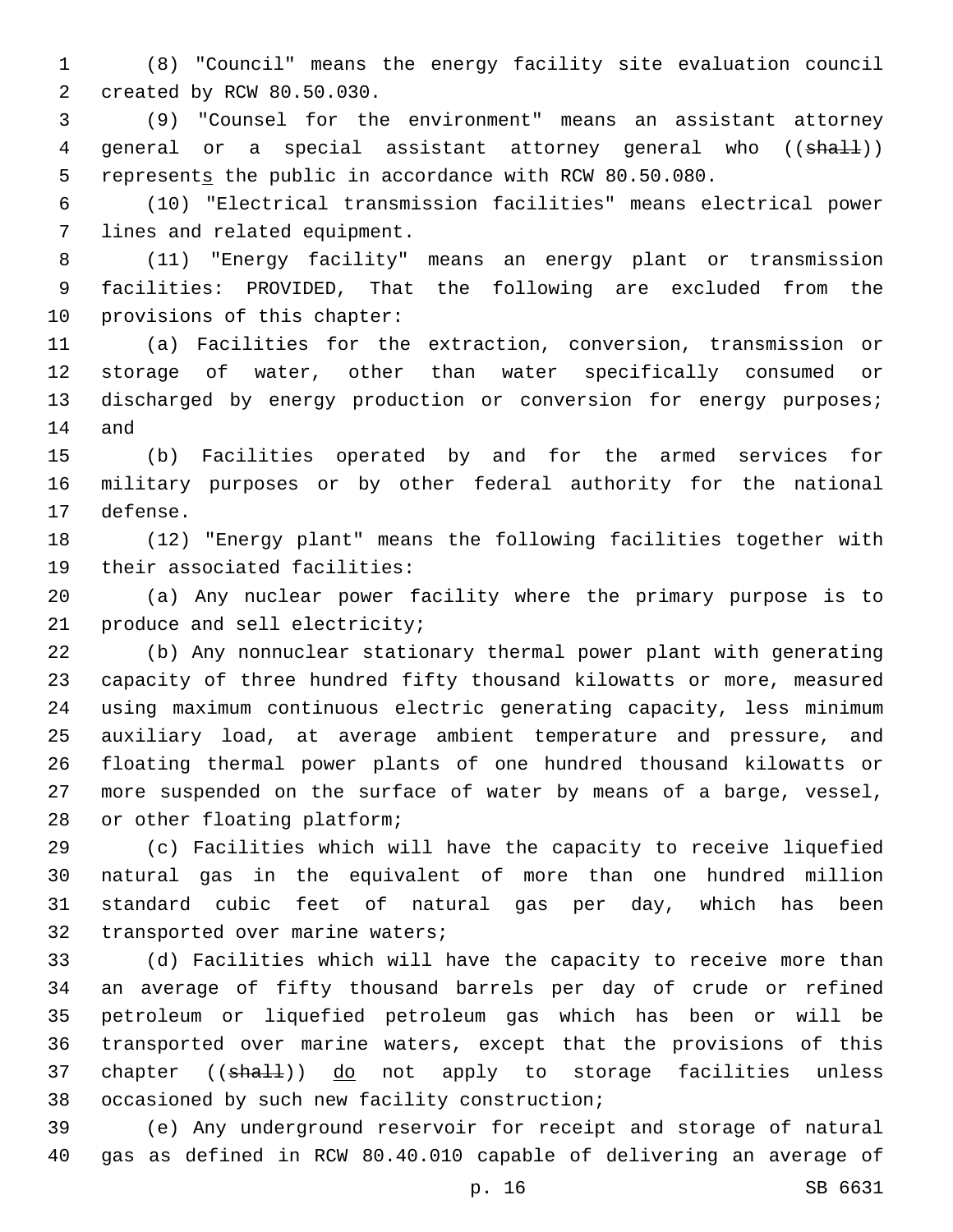(8) "Council" means the energy facility site evaluation council 2 created by RCW 80.50.030.

 (9) "Counsel for the environment" means an assistant attorney 4 general or a special assistant attorney general who ((shall)) 5 represents the public in accordance with RCW 80.50.080.

 (10) "Electrical transmission facilities" means electrical power 7 lines and related equipment.

 (11) "Energy facility" means an energy plant or transmission facilities: PROVIDED, That the following are excluded from the 10 provisions of this chapter:

 (a) Facilities for the extraction, conversion, transmission or storage of water, other than water specifically consumed or 13 discharged by energy production or conversion for energy purposes; 14 and

 (b) Facilities operated by and for the armed services for military purposes or by other federal authority for the national 17 defense.

 (12) "Energy plant" means the following facilities together with 19 their associated facilities:

 (a) Any nuclear power facility where the primary purpose is to 21 produce and sell electricity;

 (b) Any nonnuclear stationary thermal power plant with generating capacity of three hundred fifty thousand kilowatts or more, measured using maximum continuous electric generating capacity, less minimum auxiliary load, at average ambient temperature and pressure, and floating thermal power plants of one hundred thousand kilowatts or more suspended on the surface of water by means of a barge, vessel, 28 or other floating platform;

 (c) Facilities which will have the capacity to receive liquefied natural gas in the equivalent of more than one hundred million standard cubic feet of natural gas per day, which has been 32 transported over marine waters;

 (d) Facilities which will have the capacity to receive more than an average of fifty thousand barrels per day of crude or refined petroleum or liquefied petroleum gas which has been or will be transported over marine waters, except that the provisions of this 37 chapter ((shall)) do not apply to storage facilities unless 38 occasioned by such new facility construction;

 (e) Any underground reservoir for receipt and storage of natural gas as defined in RCW 80.40.010 capable of delivering an average of

p. 16 SB 6631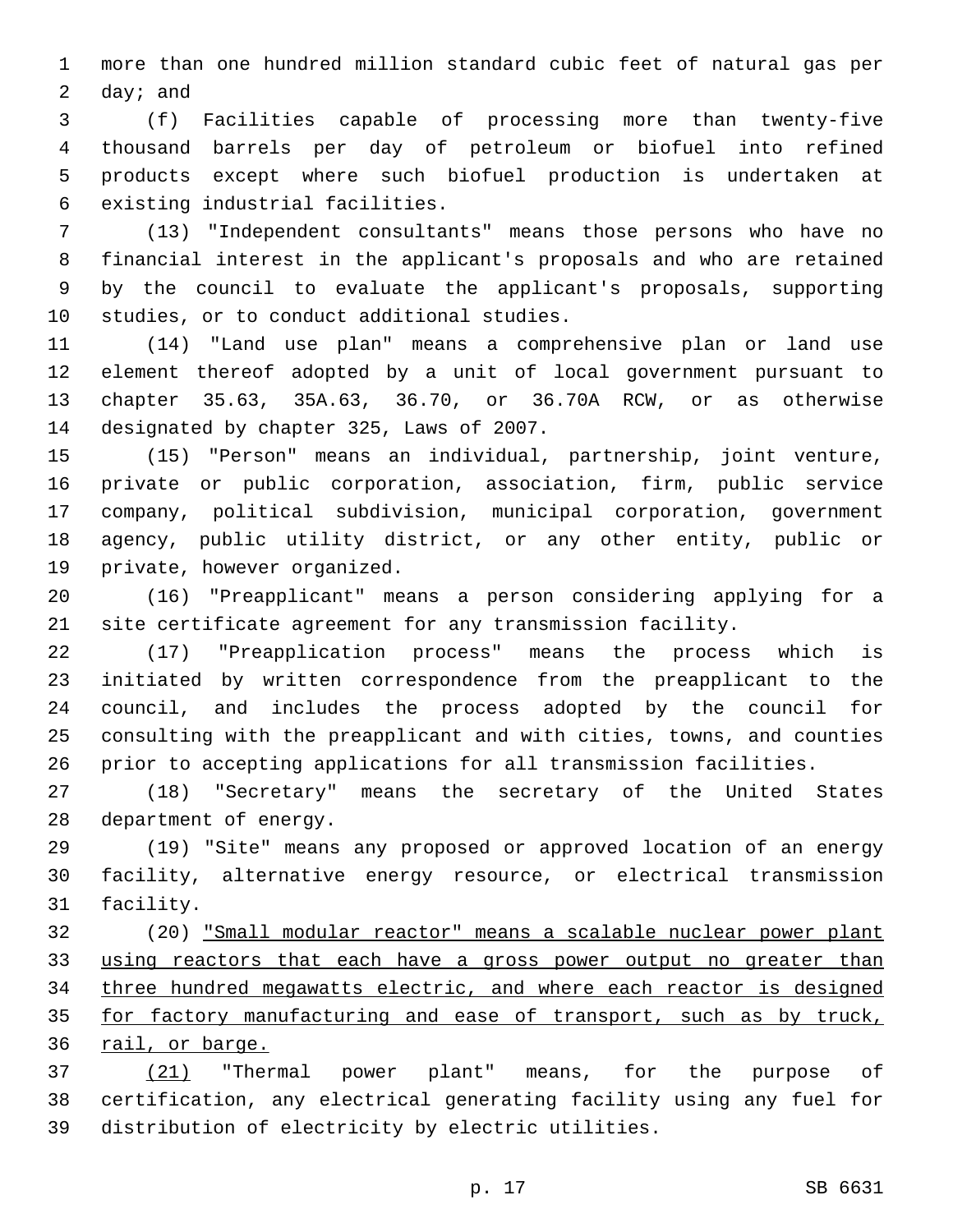more than one hundred million standard cubic feet of natural gas per  $day$ ; and

 (f) Facilities capable of processing more than twenty-five thousand barrels per day of petroleum or biofuel into refined products except where such biofuel production is undertaken at 6 existing industrial facilities.

 (13) "Independent consultants" means those persons who have no financial interest in the applicant's proposals and who are retained by the council to evaluate the applicant's proposals, supporting 10 studies, or to conduct additional studies.

 (14) "Land use plan" means a comprehensive plan or land use element thereof adopted by a unit of local government pursuant to chapter 35.63, 35A.63, 36.70, or 36.70A RCW, or as otherwise 14 designated by chapter 325, Laws of 2007.

 (15) "Person" means an individual, partnership, joint venture, private or public corporation, association, firm, public service company, political subdivision, municipal corporation, government agency, public utility district, or any other entity, public or 19 private, however organized.

 (16) "Preapplicant" means a person considering applying for a site certificate agreement for any transmission facility.

 (17) "Preapplication process" means the process which is initiated by written correspondence from the preapplicant to the council, and includes the process adopted by the council for consulting with the preapplicant and with cities, towns, and counties prior to accepting applications for all transmission facilities.

 (18) "Secretary" means the secretary of the United States 28 department of energy.

 (19) "Site" means any proposed or approved location of an energy facility, alternative energy resource, or electrical transmission 31 facility.

 (20) "Small modular reactor" means a scalable nuclear power plant 33 using reactors that each have a gross power output no greater than three hundred megawatts electric, and where each reactor is designed 35 for factory manufacturing and ease of transport, such as by truck, 36 rail, or barge.

 (21) "Thermal power plant" means, for the purpose of certification, any electrical generating facility using any fuel for distribution of electricity by electric utilities.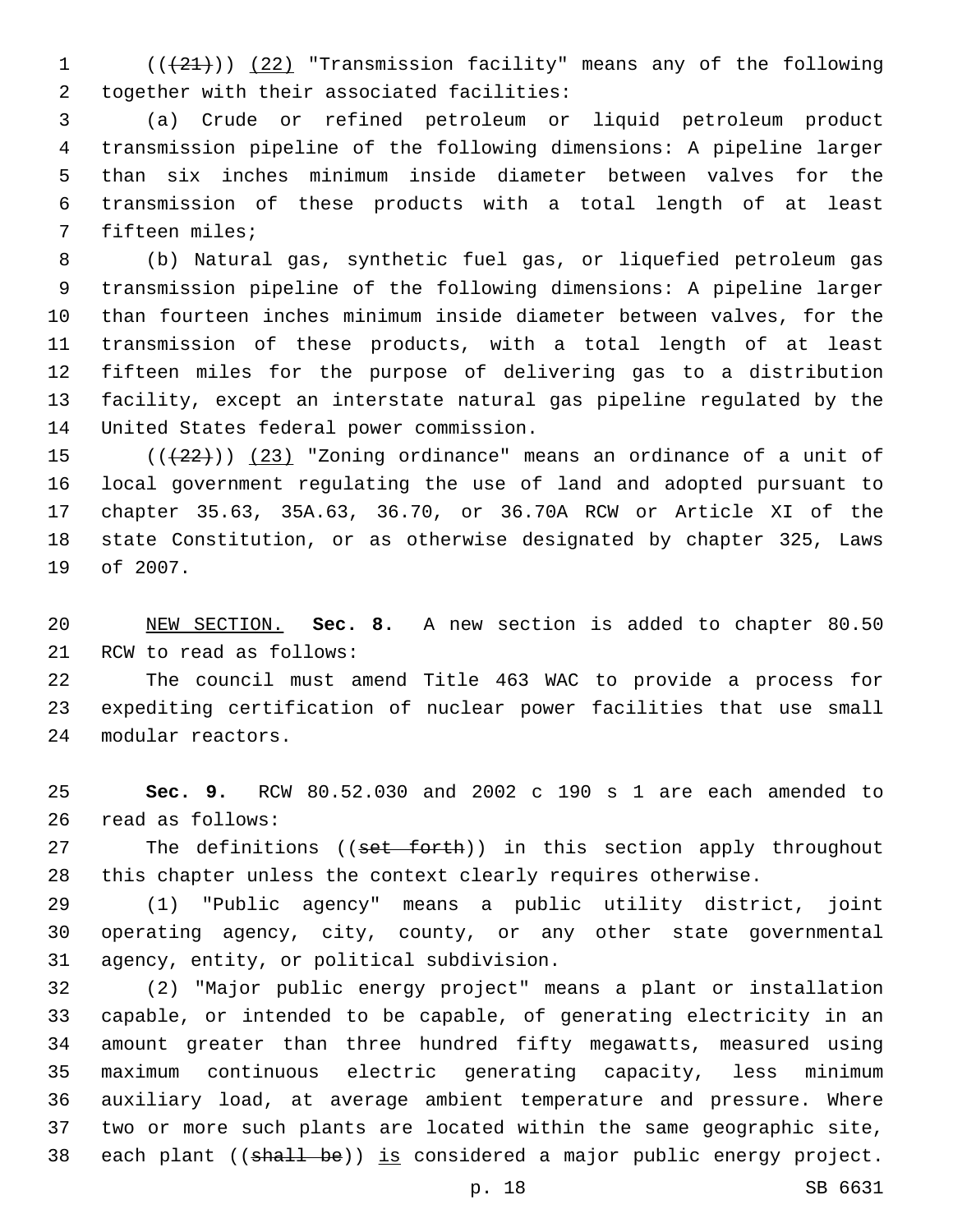1 (( $(21)$ )) (22) "Transmission facility" means any of the following 2 together with their associated facilities:

 (a) Crude or refined petroleum or liquid petroleum product transmission pipeline of the following dimensions: A pipeline larger than six inches minimum inside diameter between valves for the transmission of these products with a total length of at least 7 fifteen miles;

 (b) Natural gas, synthetic fuel gas, or liquefied petroleum gas transmission pipeline of the following dimensions: A pipeline larger than fourteen inches minimum inside diameter between valves, for the transmission of these products, with a total length of at least fifteen miles for the purpose of delivering gas to a distribution facility, except an interstate natural gas pipeline regulated by the 14 United States federal power commission.

 $((+22))$  (23) "Zoning ordinance" means an ordinance of a unit of local government regulating the use of land and adopted pursuant to chapter 35.63, 35A.63, 36.70, or 36.70A RCW or Article XI of the state Constitution, or as otherwise designated by chapter 325, Laws 19 of 2007.

 NEW SECTION. **Sec. 8.** A new section is added to chapter 80.50 21 RCW to read as follows:

 The council must amend Title 463 WAC to provide a process for expediting certification of nuclear power facilities that use small 24 modular reactors.

 **Sec. 9.** RCW 80.52.030 and 2002 c 190 s 1 are each amended to 26 read as follows:

27 The definitions ((set forth)) in this section apply throughout this chapter unless the context clearly requires otherwise.

 (1) "Public agency" means a public utility district, joint operating agency, city, county, or any other state governmental 31 agency, entity, or political subdivision.

 (2) "Major public energy project" means a plant or installation capable, or intended to be capable, of generating electricity in an amount greater than three hundred fifty megawatts, measured using maximum continuous electric generating capacity, less minimum auxiliary load, at average ambient temperature and pressure. Where two or more such plants are located within the same geographic site, 38 each plant ((shall be)) is considered a major public energy project.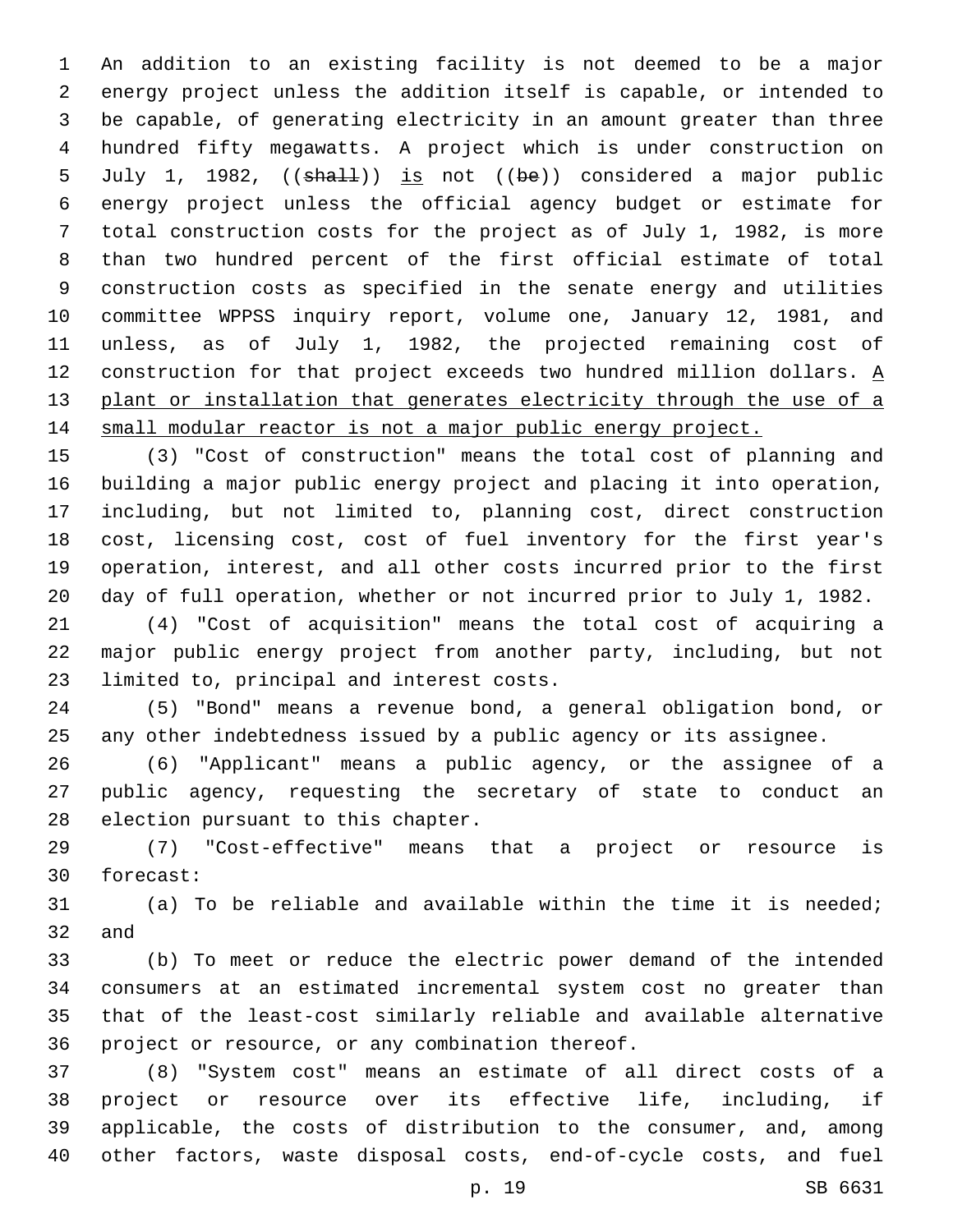An addition to an existing facility is not deemed to be a major energy project unless the addition itself is capable, or intended to be capable, of generating electricity in an amount greater than three hundred fifty megawatts. A project which is under construction on 5 July 1, 1982, ((shall)) is not ((be)) considered a major public energy project unless the official agency budget or estimate for total construction costs for the project as of July 1, 1982, is more than two hundred percent of the first official estimate of total construction costs as specified in the senate energy and utilities committee WPPSS inquiry report, volume one, January 12, 1981, and unless, as of July 1, 1982, the projected remaining cost of 12 construction for that project exceeds two hundred million dollars.  $\underline{A}$ 13 plant or installation that generates electricity through the use of a small modular reactor is not a major public energy project.

 (3) "Cost of construction" means the total cost of planning and building a major public energy project and placing it into operation, including, but not limited to, planning cost, direct construction cost, licensing cost, cost of fuel inventory for the first year's operation, interest, and all other costs incurred prior to the first day of full operation, whether or not incurred prior to July 1, 1982.

 (4) "Cost of acquisition" means the total cost of acquiring a major public energy project from another party, including, but not 23 limited to, principal and interest costs.

 (5) "Bond" means a revenue bond, a general obligation bond, or any other indebtedness issued by a public agency or its assignee.

 (6) "Applicant" means a public agency, or the assignee of a public agency, requesting the secretary of state to conduct an 28 election pursuant to this chapter.

 (7) "Cost-effective" means that a project or resource is 30 forecast:

 (a) To be reliable and available within the time it is needed; 32 and

 (b) To meet or reduce the electric power demand of the intended consumers at an estimated incremental system cost no greater than that of the least-cost similarly reliable and available alternative 36 project or resource, or any combination thereof.

 (8) "System cost" means an estimate of all direct costs of a project or resource over its effective life, including, if applicable, the costs of distribution to the consumer, and, among other factors, waste disposal costs, end-of-cycle costs, and fuel

p. 19 SB 6631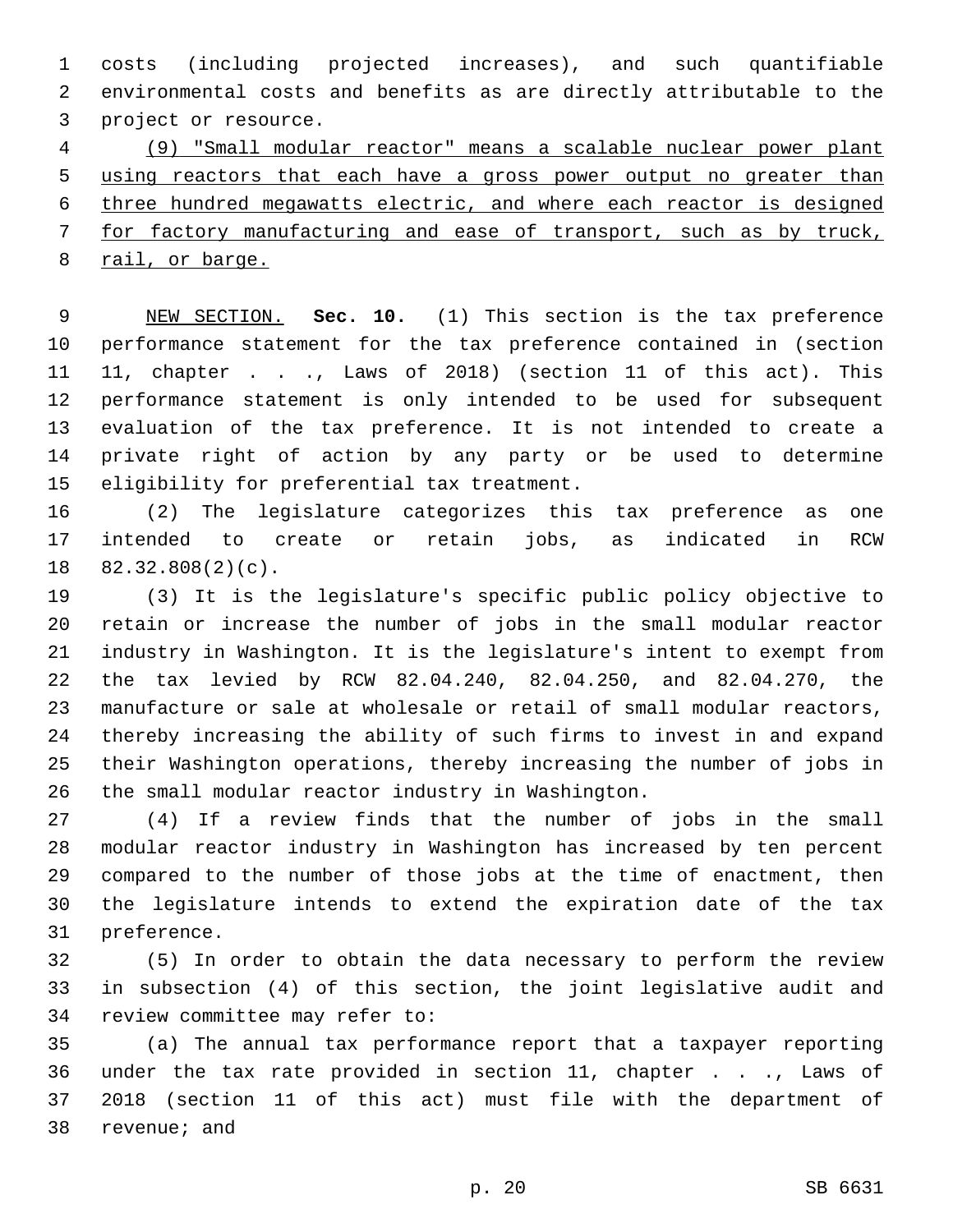costs (including projected increases), and such quantifiable environmental costs and benefits as are directly attributable to the 3 project or resource.

 (9) "Small modular reactor" means a scalable nuclear power plant using reactors that each have a gross power output no greater than three hundred megawatts electric, and where each reactor is designed for factory manufacturing and ease of transport, such as by truck, rail, or barge.

 NEW SECTION. **Sec. 10.** (1) This section is the tax preference performance statement for the tax preference contained in (section 11, chapter . . ., Laws of 2018) (section 11 of this act). This performance statement is only intended to be used for subsequent evaluation of the tax preference. It is not intended to create a private right of action by any party or be used to determine eligibility for preferential tax treatment.

 (2) The legislature categorizes this tax preference as one intended to create or retain jobs, as indicated in RCW  $82.32.808(2)(c)$ .

 (3) It is the legislature's specific public policy objective to retain or increase the number of jobs in the small modular reactor industry in Washington. It is the legislature's intent to exempt from the tax levied by RCW 82.04.240, 82.04.250, and 82.04.270, the manufacture or sale at wholesale or retail of small modular reactors, thereby increasing the ability of such firms to invest in and expand their Washington operations, thereby increasing the number of jobs in 26 the small modular reactor industry in Washington.

 (4) If a review finds that the number of jobs in the small modular reactor industry in Washington has increased by ten percent compared to the number of those jobs at the time of enactment, then the legislature intends to extend the expiration date of the tax 31 preference.

 (5) In order to obtain the data necessary to perform the review in subsection (4) of this section, the joint legislative audit and 34 review committee may refer to:

 (a) The annual tax performance report that a taxpayer reporting under the tax rate provided in section 11, chapter . . ., Laws of 2018 (section 11 of this act) must file with the department of 38 revenue; and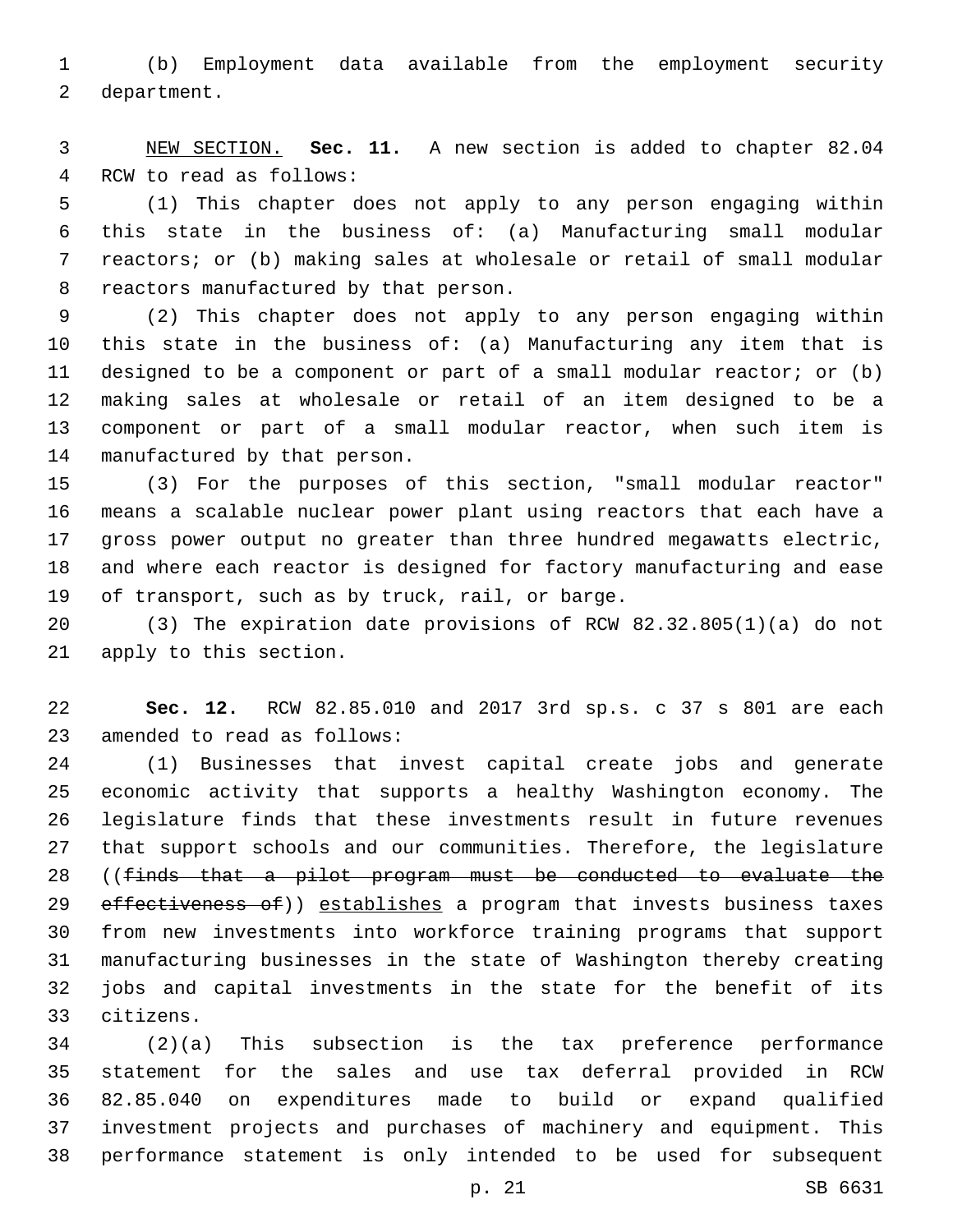(b) Employment data available from the employment security 2 department.

 NEW SECTION. **Sec. 11.** A new section is added to chapter 82.04 4 RCW to read as follows:

 (1) This chapter does not apply to any person engaging within this state in the business of: (a) Manufacturing small modular reactors; or (b) making sales at wholesale or retail of small modular 8 reactors manufactured by that person.

 (2) This chapter does not apply to any person engaging within this state in the business of: (a) Manufacturing any item that is designed to be a component or part of a small modular reactor; or (b) making sales at wholesale or retail of an item designed to be a component or part of a small modular reactor, when such item is 14 manufactured by that person.

 (3) For the purposes of this section, "small modular reactor" means a scalable nuclear power plant using reactors that each have a gross power output no greater than three hundred megawatts electric, and where each reactor is designed for factory manufacturing and ease 19 of transport, such as by truck, rail, or barge.

 (3) The expiration date provisions of RCW 82.32.805(1)(a) do not 21 apply to this section.

 **Sec. 12.** RCW 82.85.010 and 2017 3rd sp.s. c 37 s 801 are each 23 amended to read as follows:

 (1) Businesses that invest capital create jobs and generate economic activity that supports a healthy Washington economy. The legislature finds that these investments result in future revenues that support schools and our communities. Therefore, the legislature ((finds that a pilot program must be conducted to evaluate the 29 effectiveness of)) establishes a program that invests business taxes from new investments into workforce training programs that support manufacturing businesses in the state of Washington thereby creating jobs and capital investments in the state for the benefit of its citizens.33

 (2)(a) This subsection is the tax preference performance statement for the sales and use tax deferral provided in RCW 82.85.040 on expenditures made to build or expand qualified investment projects and purchases of machinery and equipment. This performance statement is only intended to be used for subsequent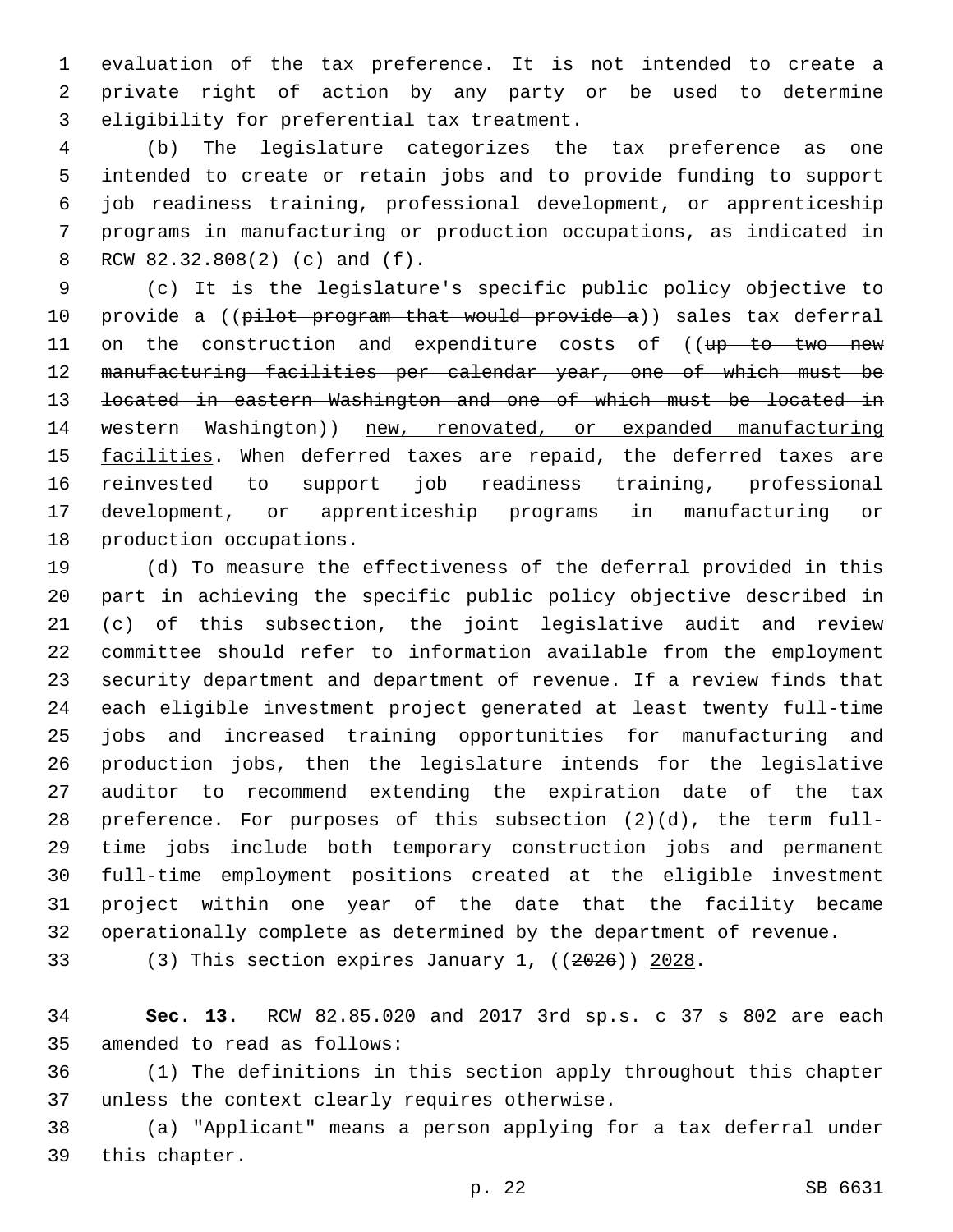evaluation of the tax preference. It is not intended to create a private right of action by any party or be used to determine 3 eligibility for preferential tax treatment.

 (b) The legislature categorizes the tax preference as one intended to create or retain jobs and to provide funding to support job readiness training, professional development, or apprenticeship programs in manufacturing or production occupations, as indicated in RCW 82.32.808(2) (c) and (f).8

 (c) It is the legislature's specific public policy objective to 10 provide a ((pilot program that would provide a)) sales tax deferral 11 on the construction and expenditure costs of ((up to two new manufacturing facilities per calendar year, one of which must be located in eastern Washington and one of which must be located in western Washington)) new, renovated, or expanded manufacturing 15 facilities. When deferred taxes are repaid, the deferred taxes are reinvested to support job readiness training, professional development, or apprenticeship programs in manufacturing or 18 production occupations.

 (d) To measure the effectiveness of the deferral provided in this part in achieving the specific public policy objective described in (c) of this subsection, the joint legislative audit and review committee should refer to information available from the employment security department and department of revenue. If a review finds that each eligible investment project generated at least twenty full-time jobs and increased training opportunities for manufacturing and production jobs, then the legislature intends for the legislative auditor to recommend extending the expiration date of the tax preference. For purposes of this subsection (2)(d), the term full- time jobs include both temporary construction jobs and permanent full-time employment positions created at the eligible investment project within one year of the date that the facility became operationally complete as determined by the department of revenue.

(3) This section expires January 1, ((2026)) 2028.

 **Sec. 13.** RCW 82.85.020 and 2017 3rd sp.s. c 37 s 802 are each 35 amended to read as follows:

 (1) The definitions in this section apply throughout this chapter 37 unless the context clearly requires otherwise.

 (a) "Applicant" means a person applying for a tax deferral under 39 this chapter.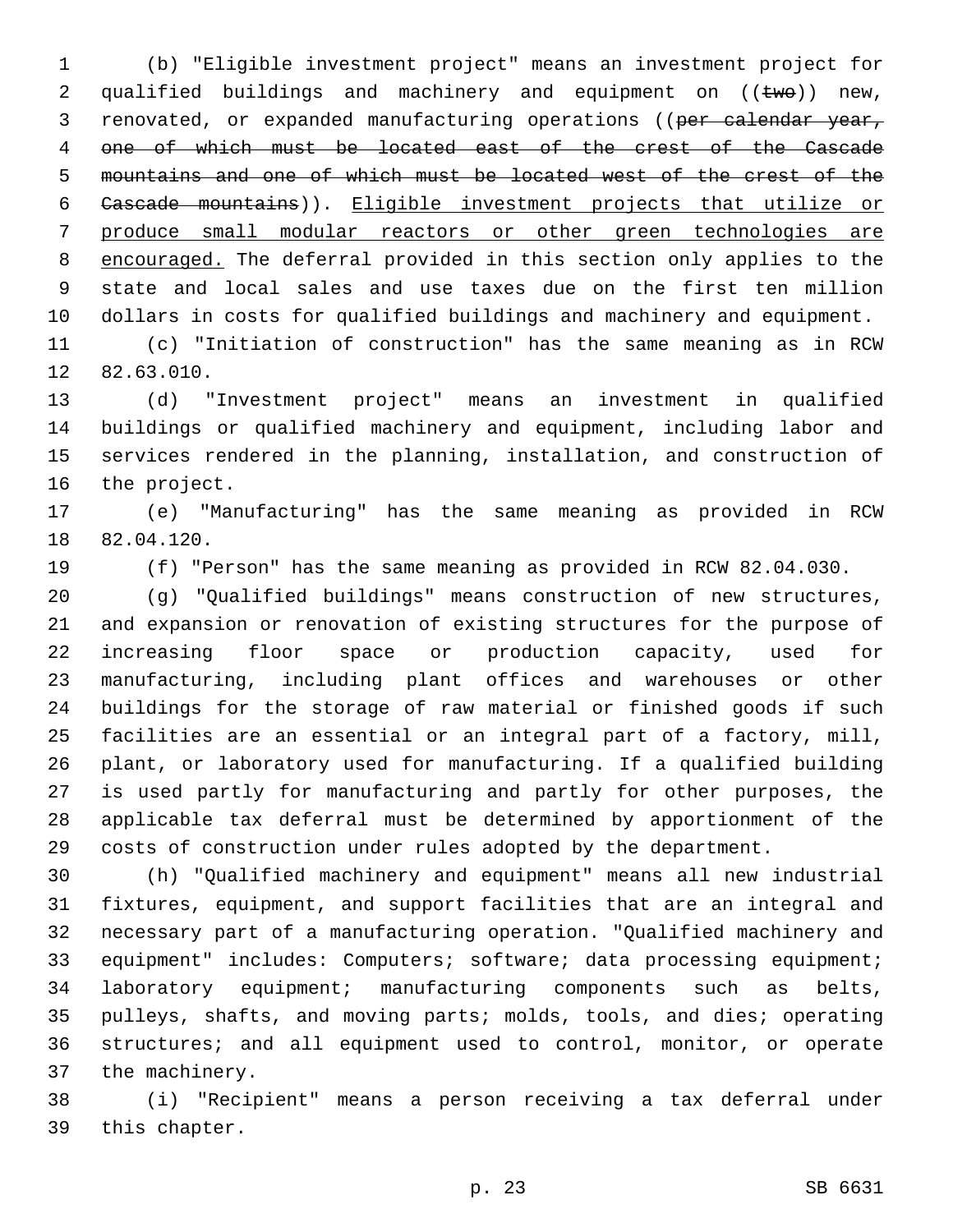(b) "Eligible investment project" means an investment project for 2 qualified buildings and machinery and equipment on  $((\text{two}))$  new, 3 renovated, or expanded manufacturing operations ((per calendar year, one of which must be located east of the crest of the Cascade mountains and one of which must be located west of the crest of the Cascade mountains)). Eligible investment projects that utilize or produce small modular reactors or other green technologies are encouraged. The deferral provided in this section only applies to the state and local sales and use taxes due on the first ten million dollars in costs for qualified buildings and machinery and equipment.

 (c) "Initiation of construction" has the same meaning as in RCW 12 82.63.010.

 (d) "Investment project" means an investment in qualified buildings or qualified machinery and equipment, including labor and services rendered in the planning, installation, and construction of 16 the project.

 (e) "Manufacturing" has the same meaning as provided in RCW 18 82.04.120.

(f) "Person" has the same meaning as provided in RCW 82.04.030.

 (g) "Qualified buildings" means construction of new structures, and expansion or renovation of existing structures for the purpose of increasing floor space or production capacity, used for manufacturing, including plant offices and warehouses or other buildings for the storage of raw material or finished goods if such facilities are an essential or an integral part of a factory, mill, plant, or laboratory used for manufacturing. If a qualified building is used partly for manufacturing and partly for other purposes, the applicable tax deferral must be determined by apportionment of the costs of construction under rules adopted by the department.

 (h) "Qualified machinery and equipment" means all new industrial fixtures, equipment, and support facilities that are an integral and necessary part of a manufacturing operation. "Qualified machinery and equipment" includes: Computers; software; data processing equipment; laboratory equipment; manufacturing components such as belts, pulleys, shafts, and moving parts; molds, tools, and dies; operating structures; and all equipment used to control, monitor, or operate 37 the machinery.

 (i) "Recipient" means a person receiving a tax deferral under 39 this chapter.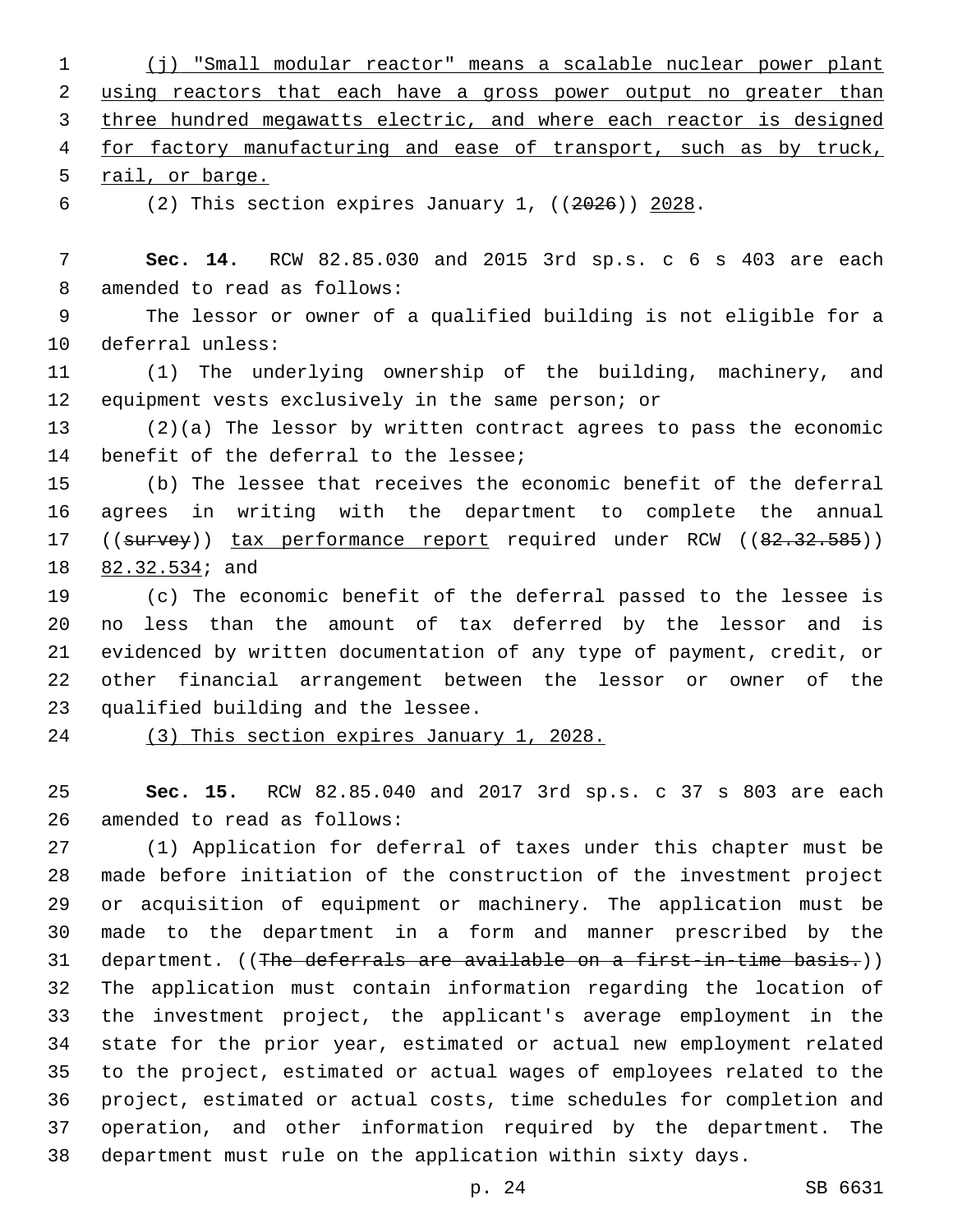(j) "Small modular reactor" means a scalable nuclear power plant using reactors that each have a gross power output no greater than three hundred megawatts electric, and where each reactor is designed for factory manufacturing and ease of transport, such as by truck, 5 rail, or barge.

(2) This section expires January 1, ((2026)) 2028.

 **Sec. 14.** RCW 82.85.030 and 2015 3rd sp.s. c 6 s 403 are each 8 amended to read as follows:

 The lessor or owner of a qualified building is not eligible for a 10 deferral unless:

 (1) The underlying ownership of the building, machinery, and equipment vests exclusively in the same person; or

 (2)(a) The lessor by written contract agrees to pass the economic 14 benefit of the deferral to the lessee;

 (b) The lessee that receives the economic benefit of the deferral agrees in writing with the department to complete the annual 17 ((survey)) tax performance report required under RCW ((82.32.585)) 18 82.32.534; and

 (c) The economic benefit of the deferral passed to the lessee is no less than the amount of tax deferred by the lessor and is evidenced by written documentation of any type of payment, credit, or other financial arrangement between the lessor or owner of the 23 qualified building and the lessee.

(3) This section expires January 1, 2028.

 **Sec. 15.** RCW 82.85.040 and 2017 3rd sp.s. c 37 s 803 are each 26 amended to read as follows:

 (1) Application for deferral of taxes under this chapter must be made before initiation of the construction of the investment project or acquisition of equipment or machinery. The application must be made to the department in a form and manner prescribed by the 31 department. ((The deferrals are available on a first-in-time basis.)) The application must contain information regarding the location of the investment project, the applicant's average employment in the state for the prior year, estimated or actual new employment related to the project, estimated or actual wages of employees related to the project, estimated or actual costs, time schedules for completion and operation, and other information required by the department. The department must rule on the application within sixty days.